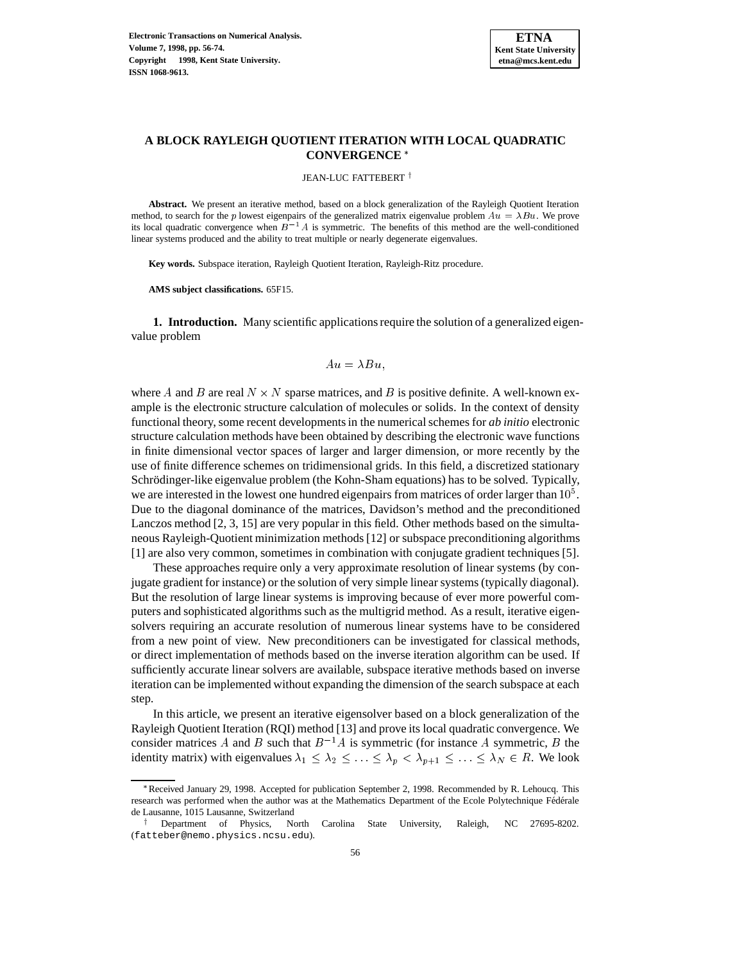

# **A BLOCK RAYLEIGH QUOTIENT ITERATION WITH LOCAL QUADRATIC CONVERGENCE**

JEAN-LUC FATTEBERT $^\dagger$ 

**Abstract.** We present an iterative method, based on a block generalization of the Rayleigh Quotient Iteration method, to search for the p lowest eigenpairs of the generalized matrix eigenvalue problem  $Au = \lambda Bu$ . We prove its local quadratic convergence when  $B^{-1}A$  is symmetric. The benefits of this method are the well-conditioned linear systems produced and the ability to treat multiple or nearly degenerate eigenvalues.

**Key words.** Subspace iteration, Rayleigh Quotient Iteration, Rayleigh-Ritz procedure.

**AMS subject classifications.** 65F15.

**1. Introduction.** Many scientific applications require the solution of a generalized eigenvalue problem

$$
Au = \lambda Bu,
$$

where A and B are real  $N \times N$  sparse matrices, and B is positive definite. A well-known example is the electronic structure calculation of molecules or solids. In the context of density functional theory, some recent developments in the numerical schemes for *ab initio* electronic structure calculation methods have been obtained by describing the electronic wave functions in finite dimensional vector spaces of larger and larger dimension, or more recently by the use of finite difference schemes on tridimensional grids. In this field, a discretized stationary Schrödinger-like eigenvalue problem (the Kohn-Sham equations) has to be solved. Typically, we are interested in the lowest one hundred eigenpairs from matrices of order larger than  $10^5$ . Due to the diagonal dominance of the matrices, Davidson's method and the preconditioned Lanczos method [2, 3, 15] are very popular in this field. Other methods based on the simultaneous Rayleigh-Quotient minimization methods [12] or subspace preconditioning algorithms [1] are also very common, sometimes in combination with conjugate gradient techniques [5].

These approaches require only a very approximate resolution of linear systems (by conjugate gradient for instance) or the solution of very simple linear systems (typically diagonal). But the resolution of large linear systems is improving because of ever more powerful computers and sophisticated algorithms such as the multigrid method. As a result, iterative eigensolvers requiring an accurate resolution of numerous linear systems have to be considered from a new point of view. New preconditioners can be investigated for classical methods, or direct implementation of methods based on the inverse iteration algorithm can be used. If sufficiently accurate linear solvers are available, subspace iterative methods based on inverse iteration can be implemented without expanding the dimension of the search subspace at each step.

In this article, we present an iterative eigensolver based on a block generalization of the Rayleigh Quotient Iteration (RQI) method [13] and prove its local quadratic convergence. We consider matrices A and B such that  $B^{-1}A$  is symmetric (for instance A symmetric, B the identity matrix) with eigenvalues  $\lambda_1 \leq \lambda_2 \leq \ldots \leq \lambda_p < \lambda_{p+1} \leq \ldots \leq \lambda_N \in R$ . We look

<sup>\*</sup>Received January 29, 1998. Accepted for publication September 2, 1998. Recommended by R. Lehoucq. This research was performed when the author was at the Mathematics Department of the Ecole Polytechnique Fédérale de Lausanne, 1015 Lausanne, Switzerland

<sup>&</sup>lt;sup>†</sup> Department of Physics, North Carolina State University, Raleigh, NC 27695-8202. (fatteber@nemo.physics.ncsu.edu).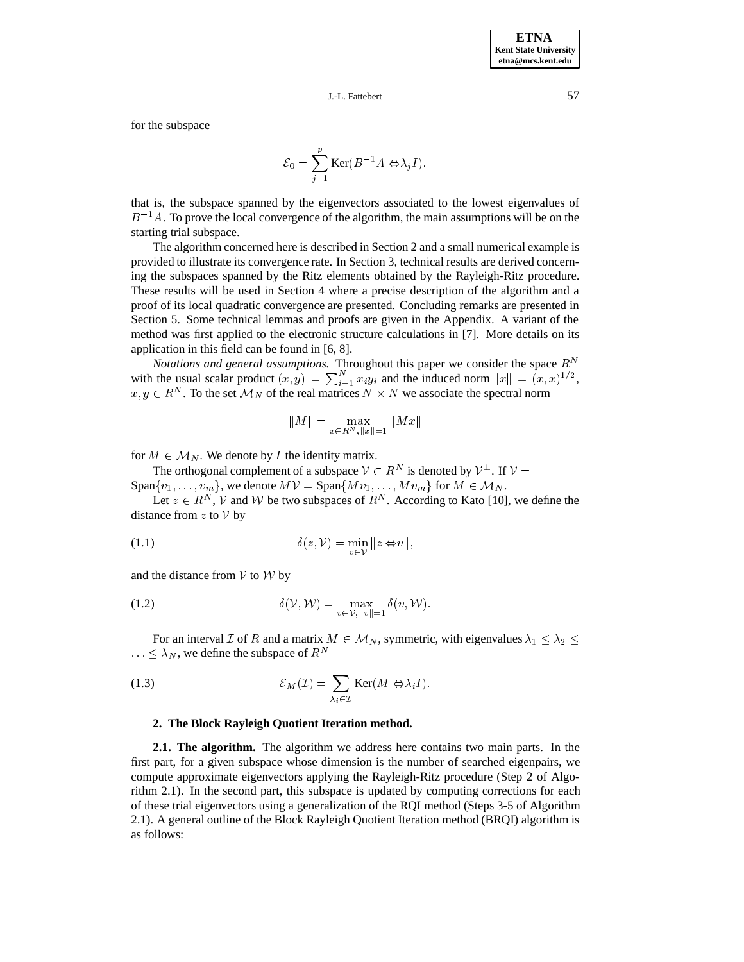for the subspace

$$
\mathcal{E}_0 = \sum_{j=1}^p \text{Ker}(B^{-1}A \Leftrightarrow \lambda_j I),
$$

that is, the subspace spanned by the eigenvectors associated to the lowest eigenvalues of  $B^{-1}A$ . To prove the local convergence of the algorithm, the main assumptions will be on the starting trial subspace.

The algorithm concerned here is described in Section 2 and a small numerical example is provided to illustrate its convergence rate. In Section 3, technical results are derived concerning the subspaces spanned by the Ritz elements obtained by the Rayleigh-Ritz procedure. These results will be used in Section 4 where a precise description of the algorithm and a proof of its local quadratic convergence are presented. Concluding remarks are presented in Section 5. Some technical lemmas and proofs are given in the Appendix. A variant of the method was first applied to the electronic structure calculations in [7]. More details on its application in this field can be found in [6, 8].

*Notations and general assumptions.* Throughout this paper we consider the space  $R^N$ with the usual scalar product  $(x, y) = \sum_{i=1}^{N} x_i y_i$  and the induced norm  $||x|| = (x, x)^{1/2}$ ,  $x, y \in R^N$ . To the set  $\mathcal{M}_N$  of the real matrices  $N \times N$  we associate the spectral norm

$$
||M|| = \max_{x \in R^N, ||x|| = 1} ||Mx||
$$

for  $M \in \mathcal{M}_N$ . We denote by I the identity matrix.

 $M \in \mathcal{M}_N$ . We denote by *I* the identity matrix.<br>The orthogonal complement of a subspace  $V \subset R^N$  is denoted by  $V^{\perp}$ . If  $V =$ for  $M \in \mathcal{M}_N$ . We denote by *I* the identity matrix.<br>The orthogonal complement of a subspace  $V \subset R^N$  is denoted by  $V^{\perp}$ . If  $V =$ <br>Span $\{v_1, \ldots, v_m\}$ , we denote  $MV =$  Span $\{Mv_1, \ldots, Mv_m\}$  for  $M \in \mathcal{M}_N$ .

Let  $z \in R^N$ , V and W be two subspaces of  $R^N$ . According to Kato [10], we define the distance from  $z$  to  $V$  by

(1.1) 
$$
\delta(z, V) = \min_{v \in V} ||z \Leftrightarrow v||,
$$

and the distance from  $V$  to  $W$  by

(1.2) 
$$
\delta(\mathcal{V}, \mathcal{W}) = \max_{v \in \mathcal{V}, ||v|| = 1} \delta(v, \mathcal{W}).
$$

For an interval Z of R and a matrix  $M \in \mathcal{M}_N$ , symmetric, with eigenvalues  $\lambda_1 \leq \lambda_2 \leq$  $\ldots \leq \lambda_N$ , we define the subspace of  $R^N$ 

(1.3) 
$$
\mathcal{E}_M(\mathcal{I}) = \sum_{\lambda_i \in \mathcal{I}} \text{Ker}(M \Leftrightarrow \lambda_i I).
$$

#### **2. The Block Rayleigh Quotient Iteration method.**

**2.1. The algorithm.** The algorithm we address here contains two main parts. In the first part, for a given subspace whose dimension is the number of searched eigenpairs, we compute approximate eigenvectors applying the Rayleigh-Ritz procedure (Step 2 of Algorithm 2.1). In the second part, this subspace is updated by computing corrections for each of these trial eigenvectors using a generalization of the RQI method (Steps 3-5 of Algorithm 2.1). A general outline of the Block Rayleigh Quotient Iteration method (BRQI) algorithm is as follows: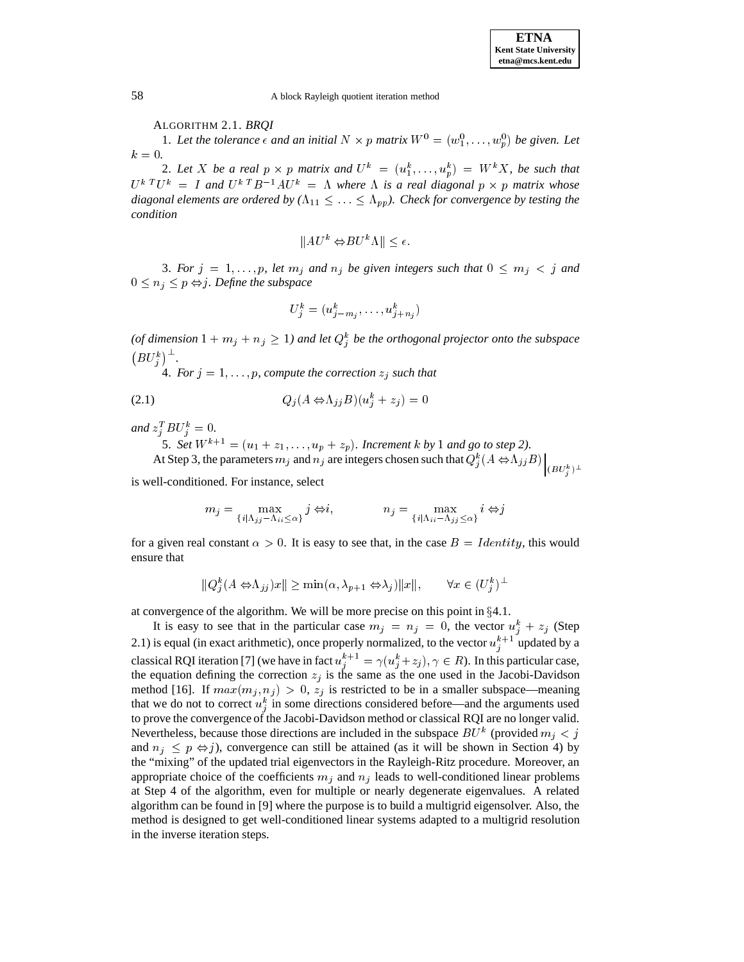ALGORITHM 2.1. *BRQI*

1. Let the tolerance  $\epsilon$  and an initial  $N \times p$  matrix  $W^0 = (w_1^0, \ldots, w_n^0)$  be given. Let  $k = 0$ .

2. Let X be a real  $p \times p$  matrix and  $U^k = (u_1^k, \ldots, u_p^k) = W^k X$ , be such that  $U^k$  <sup>T</sup> $U^k$  = I and  $U^k$ <sup>T</sup> $B^{-1}AU^k$  =  $\Lambda$  where  $\Lambda$  is a real diagonal  $p \times p$  matrix whose *diagonal elements are ordered by*  $(\Lambda_{11} \leq ... \leq \Lambda_{pp})$ . Check for convergence by testing the *condition*  $||AU^{k} \Leftrightarrow BU^{k} \Lambda || < \epsilon.$ 

$$
||AU^k \Leftrightarrow BU^k \Lambda || < \epsilon.
$$

3. *For*  $j = 1, \ldots, p$ , let  $m_j$  *and*  $n_j$  *be given integers such that*  $0 \leq m_j < j$  *and*  $0 \leq n_j \leq p \Leftrightarrow j$ . Define the subspace

$$
U_j^k=(u_{j-m_j}^k,\ldots,u_{j+n_j}^k)
$$

(of dimension  $1 + m_j + n_j \geq 1$ ) and let  $Q_j^k$  be the orthogonal projector onto the subspace  $\left(BU_j^k\right)^{\perp}$ .

4. *For*  $j = 1, \ldots, p$ , *compute the correction*  $z_j$  *such that* 

$$
(2.1) \tQj(A \Leftrightarrow \LambdajjB)(ujk + zj) = 0
$$

and  $z_j^T B U_j^k = 0$ .

5. *Set*  $W^{k+1} = (u_1 + z_1, \ldots, u_p + z_p)$ *. Increment k by* 1 *and go to step* 2*)*. At Step 3, the parameters  $m_j$  and  $n_j$  are integers chosen such that  $Q_j^k(A \Leftrightarrow \Lambda_{jj}B)$   $(BU_j^k)^\perp$ 

is well-conditioned. For instance, select

$$
m_j = \max_{\{i \mid \Lambda_{ij} - \Lambda_{ii} \le \alpha\}} j \Leftrightarrow i, \qquad n_j = \max_{\{i \mid \Lambda_{ii} - \Lambda_{jj} \le \alpha\}} i \Leftrightarrow j
$$

for a given real constant  $\alpha > 0$ . It is easy to see that, in the case  $B = Identity$ , this would ensure that  $\sum_{i=1}^{k} (A \Leftrightarrow \Lambda_{ij})x \parallel \geq \min(\alpha, \lambda_{p+1} \Leftrightarrow \lambda_j) \|x\|, \qquad \forall x \in (U_i^k)^\perp.$ 

$$
||Q_i^k(A \Leftrightarrow \Lambda_{jj})x|| \ge \min(\alpha, \lambda_{p+1} \Leftrightarrow \lambda_j)||x||, \qquad \forall x \in (U_j^k)^{\perp}
$$

at convergence of the algorithm. We will be more precise on this point in  $\S 4.1$ .

It is easy to see that in the particular case  $m_j = n_j = 0$ , the vector  $u_j^k + z_j$  (Step 2.1) is equal (in exact arithmetic), once properly normalized, to the vector  $u_i^{k+1}$  updated by a classical RQI iteration [7] (we have in fact  $u_j^{k+1} = \gamma(u_j^k + z_j), \gamma \in R$ ). In this particular case, the equation defining the correction  $z_j$  is the same as the one used in the Jacobi-Davidson method [16]. If  $max(m_j, n_j) > 0$ ,  $z_j$  is restricted to be in a smaller subspace—meaning that we do not to correct  $u_i^k$  in some directions considered before—and the arguments used j to prove the convergence of the Jacobi-Davidson method or classical RQI are no longer valid. Nevertheless, because those directions are included in the subspace  $BU^k$  (provided  $m_i < j$ and  $n_j \leq p \Leftrightarrow j$ ), convergence can still be attained (as it will be shown in Section 4) by the "mixing" of the updated trial eigenvectors in the Rayleigh-Ritz procedure. Moreover, an appropriate choice of the coefficients  $m_j$  and  $n_j$  leads to well-conditioned linear problems at Step 4 of the algorithm, even for multiple or nearly degenerate eigenvalues. A related algorithm can be found in [9] where the purpose is to build a multigrid eigensolver. Also, the method is designed to get well-conditioned linear systems adapted to a multigrid resolution in the inverse iteration steps.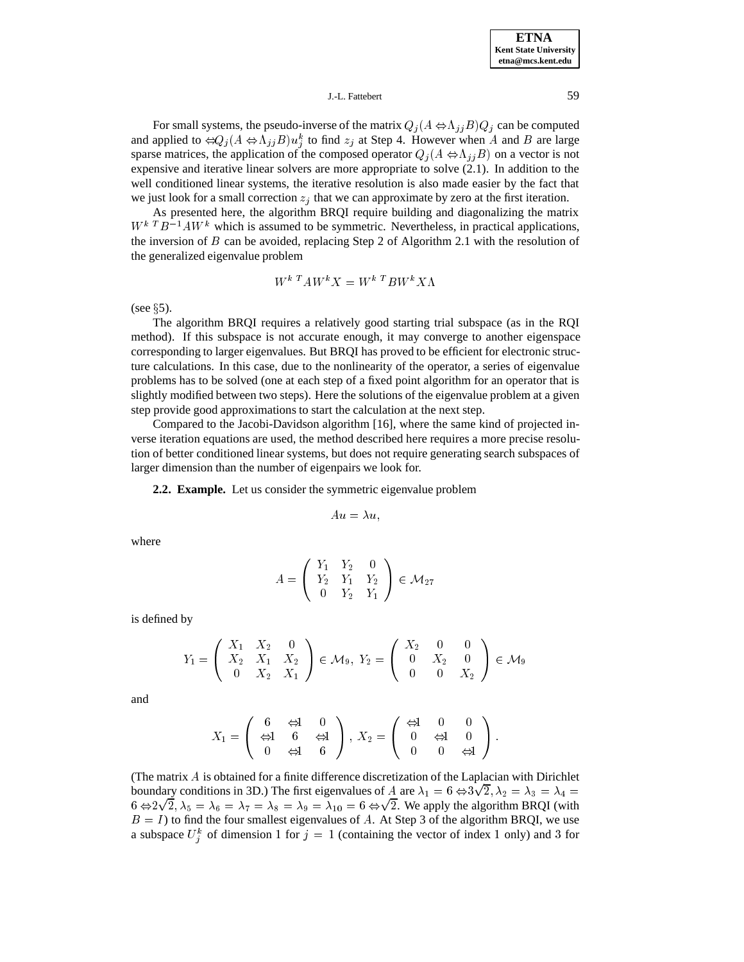## J.-L. Fattebert 59

For small systems, the pseudo-inverse of the matrix  $Q_i(A \Leftrightarrow \Lambda_{ij}B)Q_j$  can be computed and applied to  $\Leftrightarrow Q_i (A \Leftrightarrow \Lambda_{ij} B) u_j^k$  to find  $z_j$  at Step 4. However when A and B are large j sparse matrices, the application of the composed operator  $Q_j (A \Leftrightarrow \Lambda_{jj}B)$  on a vector is not expensive and iterative linear solvers are more appropriate to solve (2.1). In addition to the well conditioned linear systems, the iterative resolution is also made easier by the fact that we just look for a small correction  $z_j$  that we can approximate by zero at the first iteration.

As presented here, the algorithm BRQI require building and diagonalizing the matrix  $W^{k}$   $T B^{-1} A W^{k}$  which is assumed to be symmetric. Nevertheless, in practical applications, the inversion of B can be avoided, replacing Step 2 of Algorithm 2.1 with the resolution of the generalized eigenvalue problem

$$
W^{k T} A W^k X = W^{k T} B W^k X \Lambda
$$

(see  $\S$ 5).

The algorithm BRQI requires a relatively good starting trial subspace (as in the RQI method). If this subspace is not accurate enough, it may converge to another eigenspace corresponding to larger eigenvalues. But BRQI has proved to be efficient for electronic structure calculations. In this case, due to the nonlinearity of the operator, a series of eigenvalue problems has to be solved (one at each step of a fixed point algorithm for an operator that is slightly modified between two steps). Here the solutions of the eigenvalue problem at a given step provide good approximations to start the calculation at the next step.

Compared to the Jacobi-Davidson algorithm [16], where the same kind of projected inverse iteration equations are used, the method described here requires a more precise resolution of better conditioned linear systems, but does not require generating search subspaces of larger dimension than the number of eigenpairs we look for.

#### **2.2. Example.** Let us consider the symmetric eigenvalue problem

$$
Au=\lambda u,
$$

where

$$
A = \left(\begin{array}{ccc} Y_1 & Y_2 & 0 \\ Y_2 & Y_1 & Y_2 \\ 0 & Y_2 & Y_1 \end{array}\right) \in \mathcal{M}_{27}
$$

is defined by

$$
Y_1 = \left(\begin{array}{ccc} X_1 & X_2 & 0 \\ X_2 & X_1 & X_2 \\ 0 & X_2 & X_1 \end{array}\right) \in \mathcal{M}_9, Y_2 = \left(\begin{array}{ccc} X_2 & 0 & 0 \\ 0 & X_2 & 0 \\ 0 & 0 & X_2 \end{array}\right) \in \mathcal{M}_9
$$

and

$$
X_1 = \left(\begin{array}{ccc} 6 & \Leftrightarrow & 0 \\ \Leftrightarrow & 6 & \Leftrightarrow & 0 \\ 0 & \Leftrightarrow & 6 \end{array}\right), \ X_2 = \left(\begin{array}{ccc} \Leftrightarrow & 0 & 0 \\ 0 & \Leftrightarrow & 0 \\ 0 & 0 & \Leftrightarrow & 0 \end{array}\right).
$$

(The matrix A is obtained for a finite difference discretization of the Laplacian with Dirichlet boundary conditions in 3D.) The first eigenvalues of A are  $\lambda_1 = 6 \Leftrightarrow 3\sqrt{2}$ ,  $\lambda_2 = \lambda_3 = \lambda_4 =$  $6 \Leftrightarrow 2\sqrt{2}$ ,  $\lambda_5 = \lambda_6 = \lambda_7 = \lambda_8 = \lambda_9 = \lambda_{10} = 6 \Leftrightarrow \sqrt{2}$ . We apply the algorithm BRQI (with  $B = I$ ) to find the four smallest eigenvalues of A. At Step 3 of the algorithm BRQI, we use a subspace  $U_i^k$  of dimension 1 for  $j = 1$  (containing the vector of index 1 only) and 3 for <u>je za obrazu u predstavanju u predstavanju u predstavanju u predstavanju u predstavanju u predstavanju u preds</u>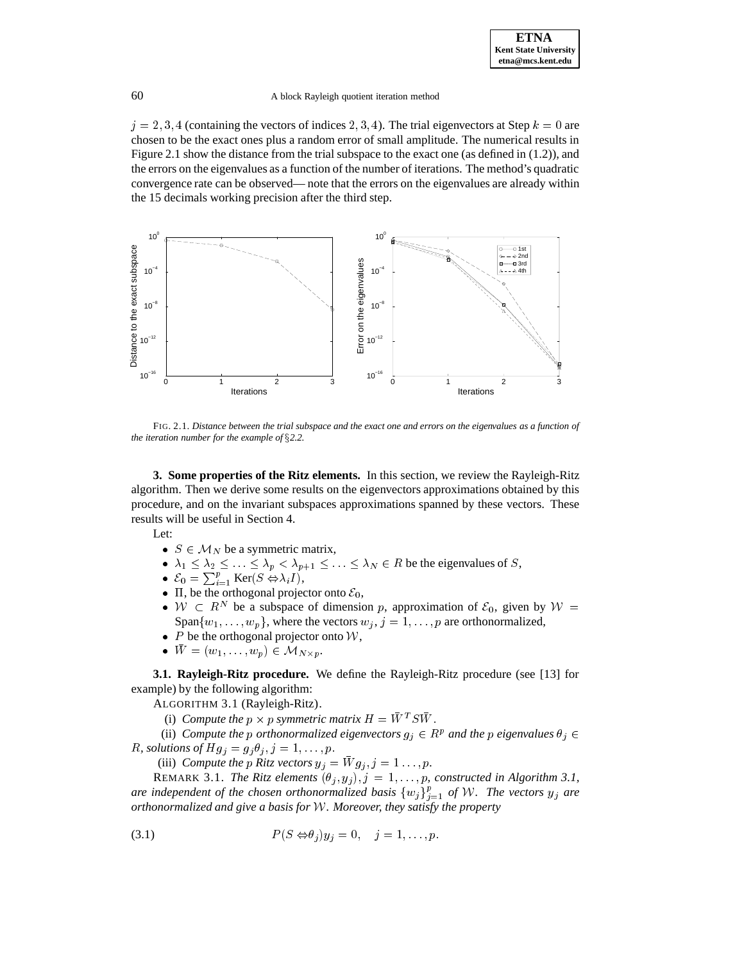$j = 2, 3, 4$  (containing the vectors of indices 2, 3, 4). The trial eigenvectors at Step  $k = 0$  are chosen to be the exact ones plus a random error of small amplitude. The numerical results in Figure 2.1 show the distance from the trial subspace to the exact one (as defined in (1.2)), and the errors on the eigenvalues as a function of the number of iterations. The method's quadratic convergence rate can be observed— note that the errors on the eigenvalues are already within the 15 decimals working precision after the third step.



FIG. 2.1. *Distance between the trial subspace and the exact one and errors on the eigenvalues as a function of the iteration number for the example of* §2.2.

**3. Some properties of the Ritz elements.** In this section, we review the Rayleigh-Ritz algorithm. Then we derive some results on the eigenvectors approximations obtained by this procedure, and on the invariant subspaces approximations spanned by these vectors. These results will be useful in Section 4. will be useful in Section 4.<br>
S  $\in \mathcal{M}_N$  be a symmetric matrix,

Let:

- 
- $\lambda_1 \leq \lambda_2 \leq \ldots \leq \lambda_p < \lambda_{p+1} \leq \ldots \leq \lambda_N \in R$  be the eigenvalues of S,<br>
  $\mathcal{E}_0 = \sum_{i=1}^p \text{Ker}(S \Leftrightarrow \lambda_i I),$
- 
- $\Pi$ , be the orthogonal projector onto  $\mathcal{E}_0$ ,
- $W \subset R^N$  be a subspace of dimension p, approximation of  $\mathcal{E}_0$ , given by  $W =$ Span $\{w_1, \ldots, w_p\}$ , where the vectors  $w_j$ ,  $j = 1, \ldots, p$  are orthonormalized, <br>  $P$  be the orthogonal projector onto  $W$ ,<br> $\overline{W} = (w_1, \ldots, w_p) \in M_{N \times p}$ .
- $P$  be the orthogonal projector onto  $W$ ,
- $W = (w_1, \ldots, w_p) \in \mathcal{M}_{N \times p}$ .

**3.1. Rayleigh-Ritz procedure.** We define the Rayleigh-Ritz procedure (see [13] for example) by the following algorithm:

ALGORITHM 3.1 (Rayleigh-Ritz).

(i) *Compute the*  $p \times p$  symmetric matrix  $H = W^T S W$ .

(ii) Compute the p orthonormalized eigenvectors  $g_j \in \mathbb{R}^p$  and the p eigenvalues  $\theta_j \in$ *R*, solutions of  $Hg_j = g_j \theta_j$ ,  $j = 1, \ldots, p$ .

(iii) *Compute the* p *Ritz vectors*  $y_j = Wg_j$ ,  $j = 1 \ldots, p$ .

REMARK 3.1. *The Ritz elements*  $(\theta_j, y_j), j = 1, \ldots, p$ , constructed in Algorithm 3.1, are independent of the chosen orthonormalized basis  $\{w_j\}_{j=1}^p$  of W. The vectors  $y_j$  are *orthonormalized and give a basis for* <sup>W</sup>*. Moreover, they satisfy the property*

$$
(3.1) \tP(S \Leftrightarrow \theta_j)y_j = 0, \quad j = 1, \dots, p.
$$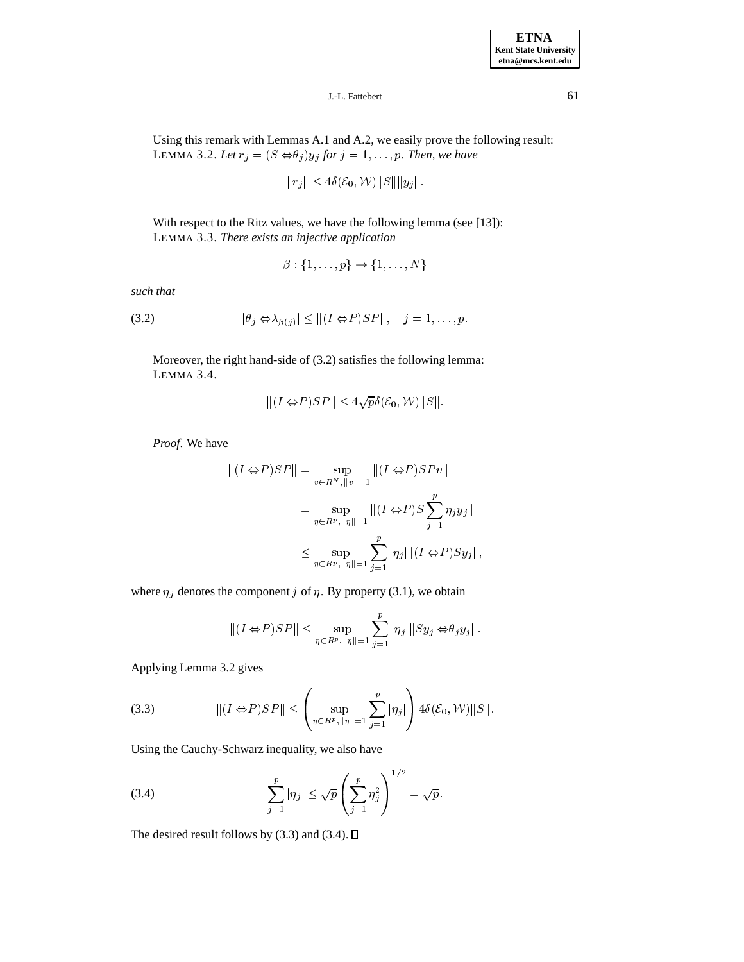Using this remark with Lemmas A.1 and A.2, we easily prove the following result: LEMMA 3.2. *Let*  $r_j = (S \Leftrightarrow \theta_j) y_j$  *for*  $j = 1, ..., p$ . Then, we have<br>  $||r_j|| \le 4\delta(\mathcal{E}_0, \mathcal{W}) ||S|| ||y_j||.$ 

$$
||r_j|| \le 4\delta(\mathcal{E}_0, \mathcal{W}) ||S|| ||y_j||
$$

With respect to the Ritz values, we have the following lemma (see [13]): LEMMA 3.3. *There exists an injective application*

$$
\beta:\{1,\ldots,p\}\to\{1,\ldots,N\}
$$

*such that*

$$
(3.2) \t\t |\t|\theta_j \Leftrightarrow \lambda_{\beta(j)} \leq ||(I \Leftrightarrow P)SP||, \quad j = 1, \ldots, p.
$$

Moreover, the right hand-side of (3.2) satisfies the following lemma: LEMMA 3.4.  $||(I \Leftrightarrow P)SP|| < 4\sqrt{p}\delta(\mathcal{E}_0, \mathcal{W})||S||.$ 

$$
||(I \Leftrightarrow P)SP|| \le 4\sqrt{p}\delta(\mathcal{E}_0, \mathcal{W})||S||.
$$

*Proof*. We have

$$
||(I \Leftrightarrow P)SP|| = \sup_{v \in R^N, ||v||=1} ||(I \Leftrightarrow P)SPv||
$$
  

$$
= \sup_{\eta \in R^p, ||\eta||=1} ||(I \Leftrightarrow P)S \sum_{j=1}^p \eta_j y_j||
$$
  

$$
\leq \sup_{\eta \in R^p, ||\eta||=1} \sum_{j=1}^p |\eta_j| ||(I \Leftrightarrow P)Sy_j||,
$$

where 
$$
\eta_j
$$
 denotes the component *j* of  $\eta$ . By property (3.1), we obtain  
\n
$$
\|(I \Leftrightarrow P)SP\| \le \sup_{\eta \in R^p, \|\eta\| = 1} \sum_{j=1}^p |\eta_j| \|Sy_j \Leftrightarrow \theta_j y_j\|.
$$

Applying Lemma 3.2 gives

(3.3) 
$$
\| (I \Leftrightarrow P)SP \| \leq \left( \sup_{\eta \in R^p, \|\eta\| = 1} \sum_{j=1}^p |\eta_j| \right) 4\delta(\mathcal{E}_0, \mathcal{W}) \|S\|.
$$

Using the Cauchy-Schwarz inequality, we also have

(3.4) 
$$
\sum_{j=1}^{p} |\eta_j| \leq \sqrt{p} \left( \sum_{j=1}^{p} \eta_j^2 \right)^{1/2} = \sqrt{p}.
$$

The desired result follows by (3.3) and (3.4).  $\square$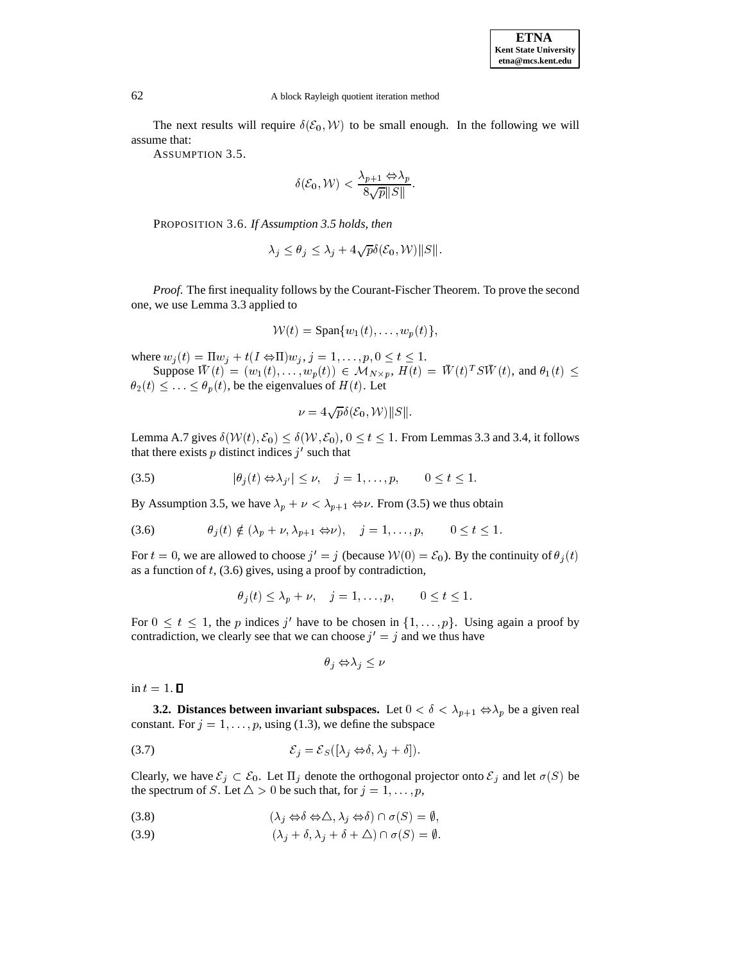The next results will require  $\delta(\mathcal{E}_0, \mathcal{W})$  to be small enough. In the following we will assume that:

ASSUMPTION 3.5.

$$
\delta(\mathcal{E}_0, \mathcal{W}) < \frac{\lambda_{p+1} \Leftrightarrow \lambda_p}{8\sqrt{p}||S||}.
$$

PROPOSITION 3.6. *If Assumption 3.5 holds, then*

$$
\lambda_j \le \theta_j \le \lambda_j + 4\sqrt{p}\delta(\mathcal{E}_0, \mathcal{W})||S||.
$$

*Proof*. The first inequality follows by the Courant-Fischer Theorem. To prove the second one, we use Lemma 3.3 applied to

$$
\mathcal{W}(t) = \text{Span}\{w_1(t), \ldots, w_p(t)\},
$$

where  $w_j(t) = \Pi w_j + t(I \Leftrightarrow \Pi)w_j$ ,  $j = 1, \ldots, p, 0 \le t \le 1$ .

Suppose  $W(t) = (w_1(t),...,w_p(t)) \in \mathcal{M}_{N \times p}$ ,  $H(t) = W(t)^T SW(t)$ , and  $\theta_1(t) \leq$  $\theta_2(t) \leq \ldots \leq \theta_p(t)$ , be the eigenvalues of  $H(t)$ . Let

$$
\nu = 4\sqrt{p}\delta(\mathcal{E}_0, \mathcal{W})||S||.
$$

Lemma A.7 gives  $\delta(W(t), \mathcal{E}_0) \leq \delta(W, \mathcal{E}_0)$ ,  $0 \leq t \leq 1$ . From Lemmas 3.3 and 3.4, it follows that there exists p distinct indices j' such that<br>  $(3.5)$   $|\theta_i(t) \Leftrightarrow \lambda_{i'}| \le \nu, \quad j = 1, ..., p, \quad 0 \le t \le 1.$ 

$$
(3.5) \t\t |\theta_j(t) \Leftrightarrow \lambda_{j'}| \leq \nu, \quad j = 1, \dots, p, \quad 0 \leq t \leq 1.
$$

By Assumption 3.5, we have  $\lambda_p + \nu < \lambda_{p+1} \Leftrightarrow \nu$ . From (3.5) we thus obtain

(3.6) 
$$
\theta_j(t) \notin (\lambda_p + \nu, \lambda_{p+1} \Leftrightarrow \nu), \quad j = 1, \ldots, p, \qquad 0 \le t \le 1.
$$

For  $t = 0$ , we are allowed to choose  $j' = j$  (because  $W(0) = \mathcal{E}_0$ ). By the continuity of  $\theta_j(t)$ as a function of  $t$ , (3.6) gives, using a proof by contradiction,

$$
\theta_j(t) \leq \lambda_p + \nu, \quad j = 1, \ldots, p, \qquad 0 \leq t \leq 1.
$$

For  $0 \leq t \leq 1$ , the p indices j' have to be chosen in  $\{1,\ldots,p\}$ . Using again a proof by contradiction, we clearly see that we can choose  $j' = j$  and we thus have

$$
\theta_j \Leftrightarrow \lambda_j \le \nu
$$

in  $t=1$ .  $\Box$ 

**3.2. Distances between invariant subspaces.** Let  $0 < \delta < \lambda_{p+1} \Leftrightarrow \lambda_p$  be a given real constant. For  $j = 1, \ldots, p$ , using (1.3), we define the subspace

$$
(3.7) \t\t\t\t\mathcal{E}_j = \mathcal{E}_S([\lambda_j \Leftrightarrow \delta, \lambda_j + \delta]).
$$

Clearly, we have  $\mathcal{E}_j \subset \mathcal{E}_0$ . Let  $\Pi_j$  denote the orthogonal projector onto  $\mathcal{E}_j$  and let  $\sigma(S)$  be the spectrum of S. Let  $\Delta > 0$  be such that, for  $j = 1, ..., p$ ,<br>
(3.8)  $(\lambda_j \Leftrightarrow \delta \Leftrightarrow \Delta, \lambda_j \Leftrightarrow \delta) \cap \sigma(S) = \emptyset$ ,

$$
(3.8) \qquad \qquad (\lambda_j \Leftrightarrow \delta \Leftrightarrow \triangle, \lambda_j \Leftrightarrow \delta) \cap \sigma(S) = \emptyset
$$

(3.9)  $(\lambda_i + \delta, \lambda_j + \delta + \Delta) \cap \sigma(S) = \emptyset.$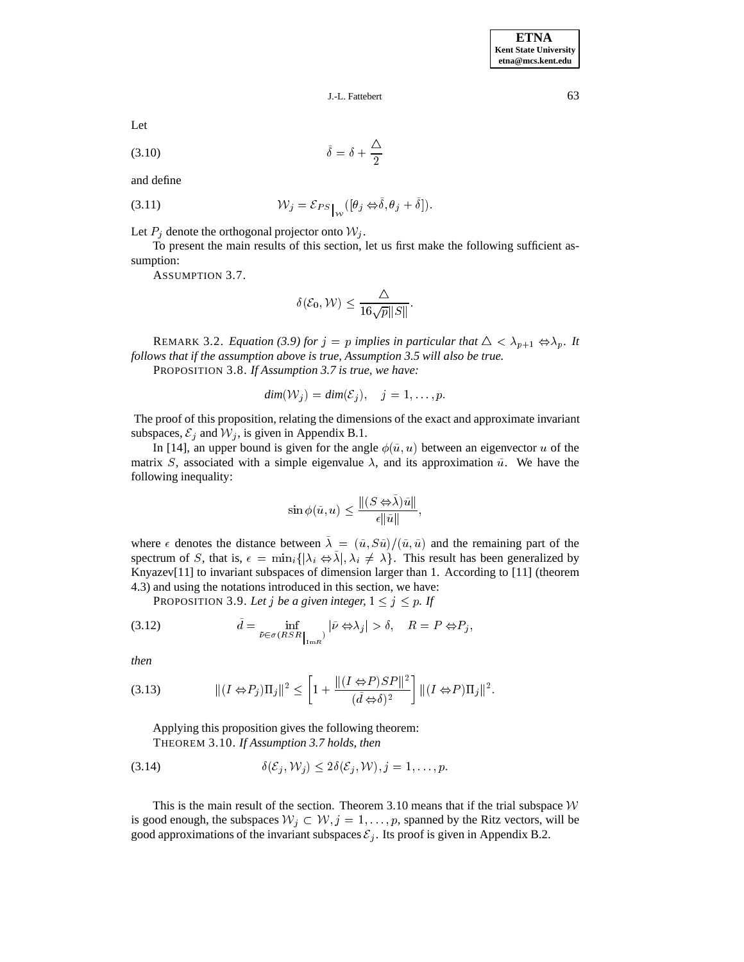J.-L. Fattebert 63

Let

$$
\tilde{\delta} = \delta + \frac{\Delta}{2}
$$

and define

(3.11) 
$$
\mathcal{W}_j = \mathcal{E}_{PS} \big|_{\mathcal{W}} \left( [\theta_j \Leftrightarrow \tilde{\delta}, \theta_j + \tilde{\delta}] \right).
$$

Let  $P_i$  denote the orthogonal projector onto  $W_i$ .

To present the main results of this section, let us first make the following sufficient assumption:

ASSUMPTION 3.7.

$$
\delta(\mathcal{E}_0, \mathcal{W}) \leq \frac{\triangle}{16\sqrt{p}||S||}.
$$

REMARK 3.2. *Equation (3.9) for*  $j = p$  *implies in particular that*  $\Delta < \lambda_{p+1} \Leftrightarrow \lambda_p$ . *It follows that if the assumption above is true, Assumption 3.5 will also be true.*

PROPOSITION 3.8. *If Assumption 3.7 is true, we have:*

$$
dim(\mathcal{W}_j) = dim(\mathcal{E}_j), \quad j = 1, \dots, p.
$$

The proof of this proposition, relating the dimensions of the exact and approximate invariant subspaces,  $\mathcal{E}_j$  and  $\mathcal{W}_j$ , is given in Appendix B.1.

In [14], an upper bound is given for the angle  $\phi(\tilde{u}, u)$  between an eigenvector u of the matrix S, associated with a simple eigenvalue  $\lambda$ , and its approximation  $\tilde{u}$ . We have the following inequality:

$$
\sin \phi(\tilde{u}, u) \le \frac{\| (S \Leftrightarrow \tilde{\lambda})\tilde{u} \|}{\epsilon \|\tilde{u}\|},
$$

where  $\epsilon$  denotes the distance between  $\tilde{\lambda} = (\tilde{u}, S\tilde{u})/(\tilde{u}, \tilde{u})$  and the remaining part of the spectrum of S, that is,  $\epsilon = \min_i {\{|\lambda_i \Leftrightarrow \lambda |, \lambda_i \neq \lambda\}}$ . This result has been generalized by Knyazev[11] to invariant subspaces of dimension larger than 1. According to [11] (theorem 4.3) and using the notations introduced in this section, we have:

PROPOSITION 3.9. Let *j* be a given integer,  $1 \le j \le p$ . If

(3.12) 
$$
\tilde{d} = \inf_{\tilde{\nu} \in \sigma(RSR_{|_{\text{Im}R}})} |\tilde{\nu} \Leftrightarrow \lambda_j| > \delta, \quad R = P \Leftrightarrow P_j,
$$

*then*

(3.13) 
$$
\| (I \Leftrightarrow P_j) \Pi_j \|^2 \le \left[ 1 + \frac{\| (I \Leftrightarrow P)SP \|^2}{(\tilde{d} \Leftrightarrow \delta)^2} \right] \| (I \Leftrightarrow P) \Pi_j \|^2.
$$

Applying this proposition gives the following theorem: THEOREM 3.10. *If Assumption 3.7 holds, then*

$$
(3.14) \qquad \qquad \delta(\mathcal{E}_j, \mathcal{W}_j) \le 2\delta(\mathcal{E}_j, \mathcal{W}), j = 1, \dots, p.
$$

This is the main result of the section. Theorem 3.10 means that if the trial subspace  $W$ is good enough, the subspaces  $W_j \subset W, j = 1, \ldots, p$ , spanned by the Ritz vectors, will be good approximations of the invariant subspaces  $\mathcal{E}_i$ . Its proof is given in Appendix B.2.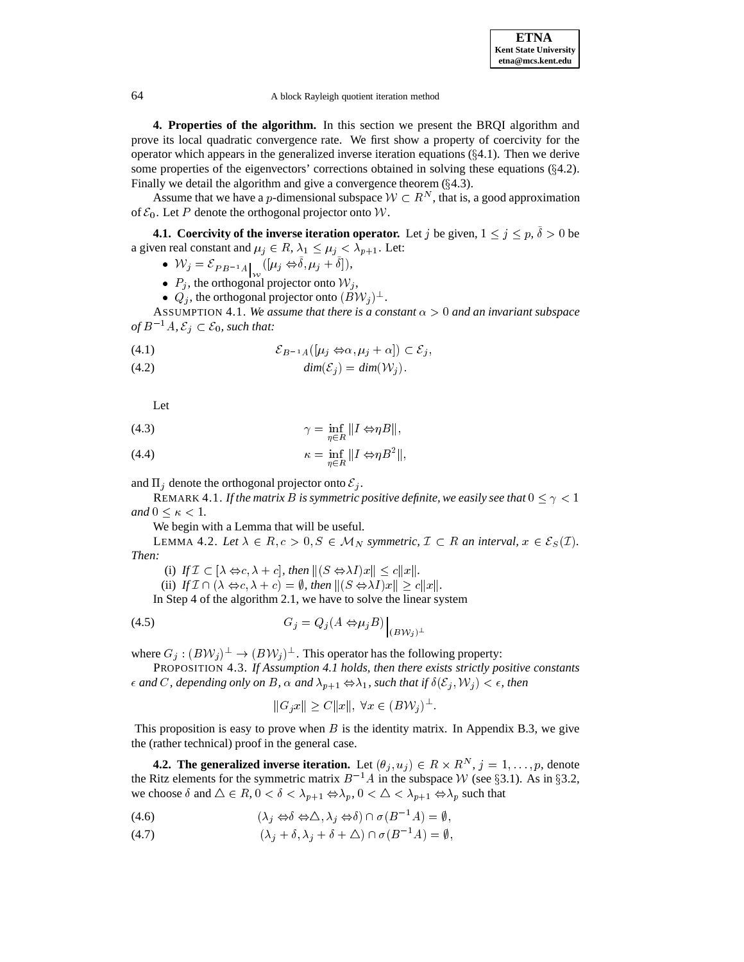**4. Properties of the algorithm.** In this section we present the BRQI algorithm and prove its local quadratic convergence rate. We first show a property of coercivity for the operator which appears in the generalized inverse iteration equations  $(\S 4.1)$ . Then we derive some properties of the eigenvectors' corrections obtained in solving these equations  $(\S 4.2)$ . Finally we detail the algorithm and give a convergence theorem  $(\S 4.3)$ . e properties of the eigenvectors' corrections obtained in solving these equations (§4.2).<br>Ily we detail the algorithm and give a convergence theorem (§4.3).<br>Assume that we have a *p*-dimensional subspace  $W \subset R^N$ , that is

of  $\mathcal{E}_0$ . Let P denote the orthogonal projector onto W.

**4.1. Coercivity of the inverse iteration operator.** Let j be given,  $1 \leq j \leq p, \delta > 0$  be a given real constant and  $\mu_j \in R$ ,  $\lambda_1 \leq \mu_j < \lambda_{p+1}$ . Let:

- $W_j = \mathcal{E}_{PB^{-1}A}$   $([\mu_j \Leftrightarrow \delta, \mu_j + \delta]),$
- $P_j$ , the orthogonal projector onto  $W_j$ ,
- $Q_j$ , the orthogonal projector onto  $(BW_j)^{\perp}$ .

ASSUMPTION 4.1. We assume that there is a constant  $\alpha > 0$  and an invariant subspace •  $Q_j$ , the orthogonal proj<br>ASSUMPTION 4.1. We assue of  $B^{-1}A$ ,  $\mathcal{E}_j \subset \mathcal{E}_0$ , such that: of  $B^{-1}A$ ,  $\mathcal{E}_j \subset \mathcal{E}_0$ , such that:<br>  $(4.1)$   $\mathcal{E}_{B^{-1}A}([\mu_j \Leftrightarrow \alpha, \mu_j + \alpha]) \subset \mathcal{E}_j$ ,

$$
(4.1) \qquad \qquad \mathcal{E}_{B^{-1}A}([\mu_i \Leftrightarrow \alpha, \mu_i + \alpha]) \subset \mathcal{E}_i,
$$

(4.2)  $\lim_{B \to A \setminus \{P_j \} \to \alpha, P_j + \alpha \}} \lim_{\alpha \to 0} (\mathcal{E}_i)$ 

Let

(4.3) 
$$
\gamma = \inf_{\eta \in R} \|I \Leftrightarrow \eta B\|,
$$

(4.4) 
$$
\kappa = \inf_{\eta \in R} ||I \Leftrightarrow \eta B^2||,
$$

and  $\Pi_i$  denote the orthogonal projector onto  $\mathcal{E}_i$ .

REMARK 4.1. If the matrix B is symmetric positive definite, we easily see that  $0 \leq \gamma < 1$ *and*  $0 \leq \kappa \leq 1$ *.*  $0 \leq \kappa < 1$ .<br>We begin with a Lemma that will be useful.<br>LEMMA 4.2. *Let*  $\lambda \in R, c > 0, S \in M_N$  *symmetric,*  $\mathcal{I} \subset R$  *an interval,*  $x \in \mathcal{E}_S(\mathcal{I})$ .

We begin with a Lemma that will be useful.

*Then:* EMMA 4.2. Let  $\lambda \in R, c > 0, S \in M_N$  symmetric,  $\mathcal{I} \subset R$ <br>(i) *If*  $\mathcal{I} \subset [\lambda \Leftrightarrow c, \lambda + c]$ , then  $||(S \Leftrightarrow \lambda I)x|| \le c||x||$ .

(i) *If*  $\mathcal{I} \subset [\lambda \Leftrightarrow c, \lambda + c]$ , then  $||(S \Leftrightarrow \lambda I)x|| \le c||x||$ .<br>(ii) *If*  $\mathcal{I} \cap (\lambda \Leftrightarrow c, \lambda + c) = \emptyset$ , then  $||(S \Leftrightarrow \lambda I)x|| > c||x||$ .

In Step 4 of the algorithm 2.1, we have to solve the linear system

$$
(4.5) \tG_j = Q_j(A \Leftrightarrow \mu_j B) \Big|_{(B\mathcal{W}_j)^\perp}
$$

where  $G_j : (BW_j)^{\perp} \to (BW_j)^{\perp}$ . This operator has the following property:

PROPOSITION 4.3. *If Assumption 4.1 holds, then there exists strictly positive constants and* C, depending only on B,  $\alpha$  and  $\lambda_{p+1} \Leftrightarrow \lambda_1$ , such that if  $\delta(\mathcal{E}_j, \mathcal{W}_j) < \epsilon$ , then  $\|G_j x\| \ge C \|x\|, \forall x \in (BW_j)^\perp$ .

$$
||G_jx|| \ge C||x||, \,\forall x \in (BV_j)^{\perp}
$$

This proposition is easy to prove when  $B$  is the identity matrix. In Appendix B.3, we give the (rather technical) proof in the general case.

**4.2. The generalized inverse iteration.** Let  $(\theta_j, u_j) \in R \times R^N$ ,  $j = 1, \ldots, p$ , denote the Ritz elements for the symmetric matrix  $B^{-1}A$  in the subspace W (see §3.1). As in §3.2, **4.2. The generalized inverse iteration.** Let  $(\theta_j, u_j) \in R \times R^N$ ,  $j = 1$ , the Ritz elements for the symmetric matrix  $B^{-1}A$  in the subspace W (see §3.1 we choose  $\delta$  and  $\Delta \in R$ ,  $0 < \delta < \lambda_{p+1} \Leftrightarrow \lambda_p$ ,  $0 < \Delta < \lambda_{p+1} \Leftright$ we choose  $\delta$  and  $\Delta \in R$ ,  $0 < \delta < \lambda_{p+1} \Leftrightarrow \lambda_p$ ,  $0 < \Delta < \lambda_{p+1} \Leftrightarrow \lambda_p$  such that

(4.6) 
$$
(\lambda_j \Leftrightarrow \delta \Leftrightarrow \triangle, \lambda_j \Leftrightarrow \delta) \cap \sigma(B^{-1}A) = \emptyset,
$$

(4.7)  $(\lambda_j + \delta, \lambda_j + \delta + \Delta) \cap \sigma(B^{-1}A) = \emptyset,$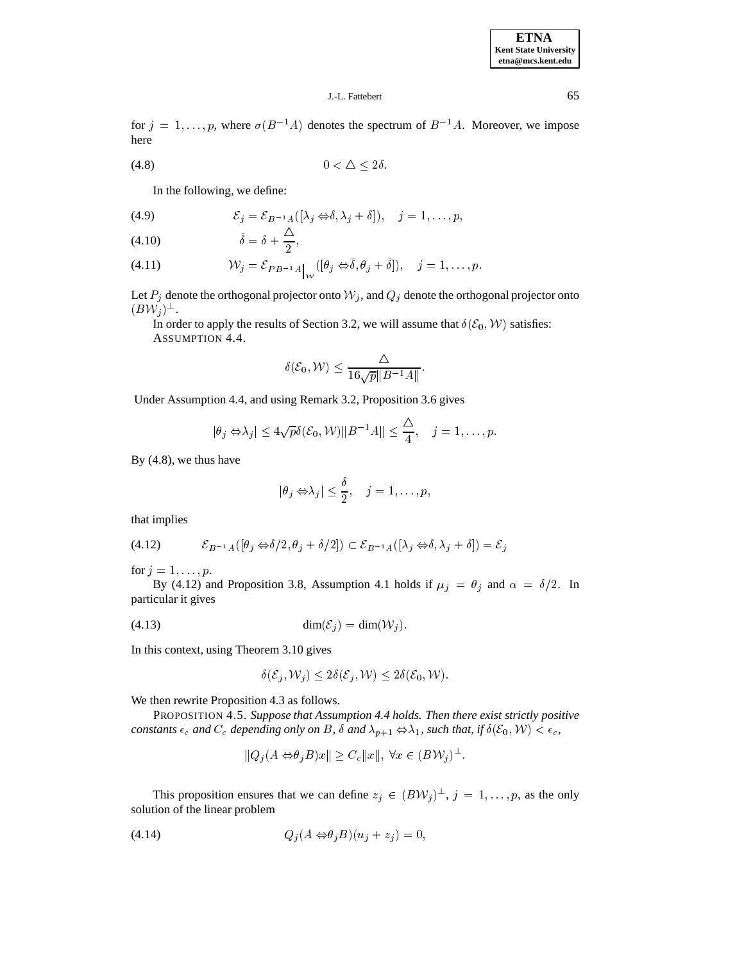for  $j = 1, \ldots, p$ , where  $\sigma(B^{-1}A)$  denotes the spectrum of  $B^{-1}A$ . Moreover, we impose here here  $(4.8)$   $0 < \Delta \le 2\delta$ .

$$
(4.8) \t\t 0 < \Delta < 2\delta
$$

In the following, we define:

(4.9) 
$$
\mathcal{E}_j = \mathcal{E}_{B^{-1}A}([\lambda_j \Leftrightarrow \delta, \lambda_j + \delta]), \quad j = 1, ..., p,
$$

$$
(4.10) \qquad \tilde{\delta} = \delta + \frac{1}{2},
$$

(4.11) 
$$
\mathcal{W}_j = \mathcal{E}_{PB^{-1}A}\Big|_{\mathcal{W}}([\theta_j \Leftrightarrow \tilde{\delta}, \theta_j + \tilde{\delta}]), \quad j = 1, \ldots, p.
$$

Let  $P_j$  denote the orthogonal projector onto  $W_j$ , and  $Q_j$  denote the orthogonal projector onto  $(BW_j)^{\perp}$ .

In order to apply the results of Section 3.2, we will assume that  $\delta(\mathcal{E}_0, \mathcal{W})$  satisfies: ASSUMPTION 4.4.

$$
\delta(\mathcal{E}_0, \mathcal{W}) \leq \frac{\Delta}{16\sqrt{p}||B^{-1}A||}.
$$

Under Assumption 4.4, and using Remark 3.2, Proposition 3.6 gives  
\n
$$
|\theta_j \Leftrightarrow \lambda_j| \le 4\sqrt{p}\delta(\mathcal{E}_0, \mathcal{W}) ||B^{-1}A|| \le \frac{\Delta}{4}, \quad j = 1, \dots, p.
$$

By (4.8), we thus have

$$
|\theta_j \Leftrightarrow \lambda_j| \leq \frac{\delta}{2}, \quad j = 1, \ldots, p,
$$

that implies

that implies  
\n
$$
\mathcal{E}_{B^{-1}A}([\theta_j \Leftrightarrow \delta/2, \theta_j + \delta/2]) \subset \mathcal{E}_{B^{-1}A}([\lambda_j \Leftrightarrow \delta, \lambda_j + \delta]) = \mathcal{E}_j
$$

for  $j = 1, \ldots, p$ .

By (4.12) and Proposition 3.8, Assumption 4.1 holds if  $\mu_j = \theta_j$  and  $\alpha = \delta/2$ . In particular it gives

$$
(4.13) \qquad \qquad \dim(\mathcal{E}_i) = \dim(\mathcal{W}_i).
$$

In this context, using Theorem 3.10 gives

$$
\delta(\mathcal{E}_j, \mathcal{W}_j) \le 2\delta(\mathcal{E}_j, \mathcal{W}) \le 2\delta(\mathcal{E}_0, \mathcal{W}).
$$

We then rewrite Proposition 4.3 as follows.

PROPOSITION 4.5. *Suppose that Assumption 4.4 holds. Then there exist strictly positive constants*  $\epsilon_c$  *and*  $C_c$  *depending only on* B,  $\delta$  *and*  $\lambda_{p+1} \Leftrightarrow \lambda_1$ , *such that, if*  $\delta(\mathcal{E}_0, \mathcal{W}) < \epsilon_c$ ,  $\|\mathcal{Q}_i(A \Leftrightarrow \theta_i B)x\| \ge C_c \|x\|, \forall x \in (B\mathcal{W}_i)^\perp$ .

$$
||Q_j(A \Leftrightarrow \theta_j B)x|| \ge C_c ||x||, \ \forall x \in (BV_j)^{\perp}
$$

This proposition ensures that we can define  $z_j \in (BW_j)^\perp$ ,  $j = 1, \ldots, p$ , as the only solution of the linear problem

$$
(4.14) \tQj(A \Leftrightarrow \theta_j B)(u_j + z_j) = 0,
$$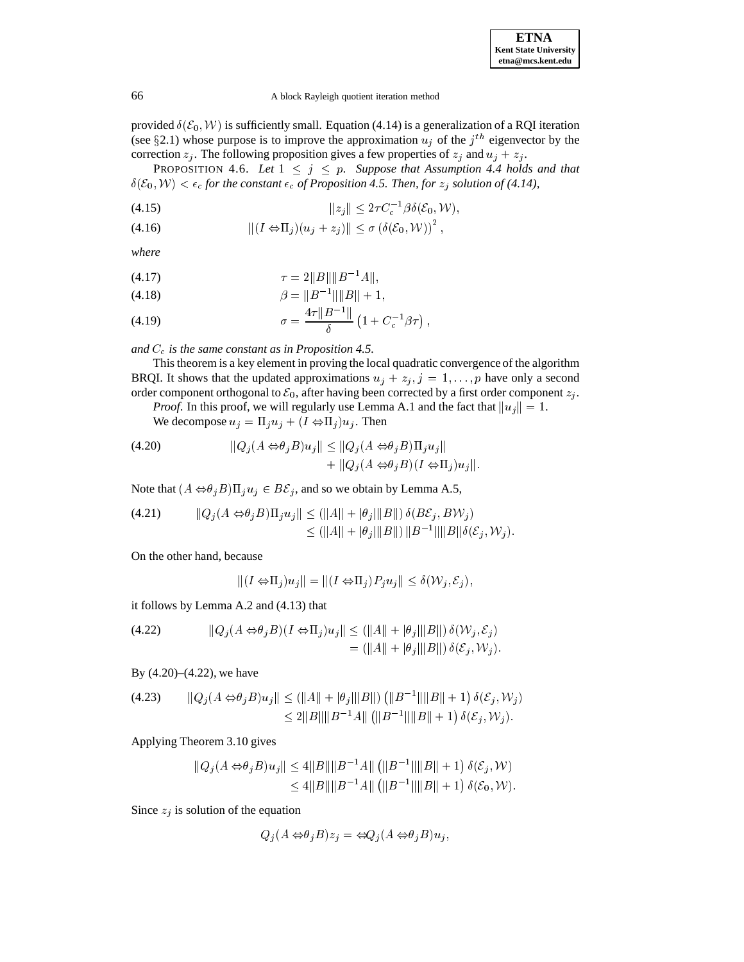provided  $\delta(\mathcal{E}_0, \mathcal{W})$  is sufficiently small. Equation (4.14) is a generalization of a RQI iteration (see §2.1) whose purpose is to improve the approximation  $u_i$  of the j<sup>th</sup> eigenvector by the correction  $z_j$ . The following proposition gives a few properties of  $z_j$  and  $u_j + z_j$ .

PROPOSITION 4.6. Let  $1 \leq j \leq p$ . Suppose that Assumption 4.4 holds and that  $\delta(\mathcal{E}_0, \mathcal{W}) < \epsilon_c$  for the constant  $\epsilon_c$  of Proposition 4.5. Then, for  $z_j$  solution of (4.14),<br>
(4.15)  $\|z_j\| \leq 2\tau C_c^{-1} \beta \delta(\mathcal{E}_0, \mathcal{W}),$ 

(4.15) 
$$
||z_j|| \leq 2\tau C_c^{-1} \beta \delta(\mathcal{E}_0, \mathcal{W}),
$$
  
(4.16) 
$$
||(I \Leftrightarrow \Pi_j)(u_j + z_j)|| < \sigma (\delta(\mathcal{E}_0, \mathcal{W}))^2,
$$

$$
||(I \Leftrightarrow \Pi_j)(u_j + z_j)|| \le \sigma \left(\delta(\mathcal{E}_0, \mathcal{W})\right)^2,
$$

*where*

$$
(4.17) \t\t \tau = 2||B||||B^{-1}A||,
$$

(4.18) 
$$
\beta = ||B^{-1}|| ||B|| + 1,
$$

(4.19) 
$$
\sigma = \frac{4\tau ||B^{-1}||}{\delta} \left(1 + C_c^{-1}\beta\tau\right),
$$

and  $C_c$  *is the same constant as in Proposition 4.5.* 

This theorem is a key element in proving the local quadratic convergence of the algorithm BRQI. It shows that the updated approximations  $u_j + z_j$ ,  $j = 1, \ldots, p$  have only a second order component orthogonal to  $\mathcal{E}_0$ , after having been corrected by a first order component  $z_j$ .

*Proof.* In this proof, we will regularly use Lemma A.1 and the fact that  $||u_j|| = 1$ .

We decompose  $u_j = \prod_j u_j + (I \Leftrightarrow \prod_j)u_j$ . Then

(4.20) 
$$
\|Q_j(A \Leftrightarrow \theta_j B)u_j\| \le \|Q_j(A \Leftrightarrow \theta_j B)\Pi_j u_j\| + \|Q_j(A \Leftrightarrow \theta_j B)(I \Leftrightarrow \Pi_j)u_j\|.
$$

Note that 
$$
(A \Leftrightarrow \theta_j B) \Pi_j u_j \in B\mathcal{E}_j
$$
, and so we obtain by Lemma A.5,  
\n(4.21) 
$$
\|Q_j(A \Leftrightarrow \theta_j B) \Pi_j u_j\| \leq (\|A\| + |\theta_j| \|B\|) \delta(B\mathcal{E}_j, B\mathcal{W}_j)
$$
\n
$$
\leq (\|A\| + |\theta_j| \|B\|) \|B^{-1}\| \|B\| \delta(\mathcal{E}_j, \mathcal{W}_j).
$$

On the other hand, because

cause  

$$
||(I \Leftrightarrow \Pi_j)u_j|| = ||(I \Leftrightarrow \Pi_j)P_ju_j|| \le \delta(\mathcal{W}_j, \mathcal{E}_j),
$$

it follows by Lemma A.2 and (4.13) that  
\n(4.22) 
$$
||Q_j(A \Leftrightarrow \theta_j B)(I \Leftrightarrow \Pi_j)u_j|| \leq (||A|| + |\theta_j|| ||B||) \delta(\mathcal{W}_j, \mathcal{E}_j)
$$
\n
$$
= (||A|| + |\theta_j|| ||B||) \delta(\mathcal{E}_j, \mathcal{W}_j).
$$

By (4.20)–(4.22), we have

By (4.20)–(4.22), we have  
\n
$$
\|Q_j(A \Leftrightarrow \theta_j B)u_j\| \leq (||A|| + |\theta_j|||B||) (||B^{-1}|| ||B|| + 1) \delta(\mathcal{E}_j, \mathcal{W}_j)
$$
\n
$$
\leq 2||B||||B^{-1}A|| (||B^{-1}||||B|| + 1) \delta(\mathcal{E}_j, \mathcal{W}_j).
$$

Applying Theorem 3.10 gives  
\n
$$
||Q_j(A \Leftrightarrow \theta_j B)u_j|| \le 4||B||||B^{-1}A|| (||B^{-1}||||B|| + 1) \delta(\mathcal{E}_j, \mathcal{W})
$$
\n
$$
\le 4||B||||B^{-1}A|| (||B^{-1}||||B|| + 1) \delta(\mathcal{E}_0, \mathcal{W}).
$$

Since  $z_i$  is solution of the equation

$$
Q_j(A \Leftrightarrow \theta_j B) z_j = \Leftrightarrow Q_j(A \Leftrightarrow \theta_j B) u_j,
$$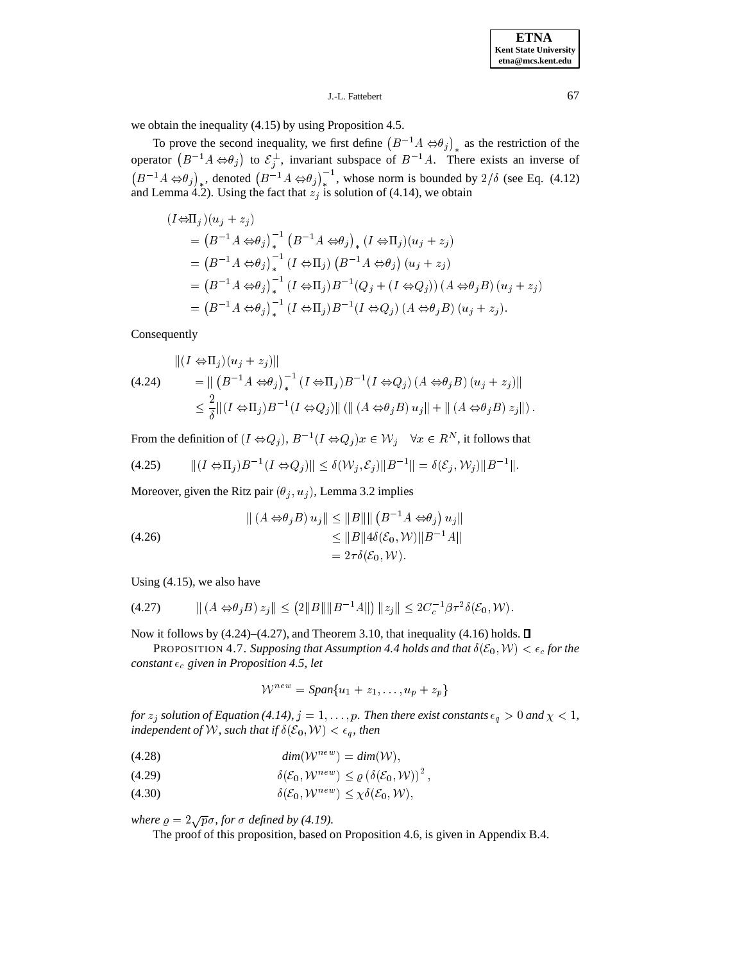we obtain the inequality (4.15) by using Proposition 4.5.

To prove the second inequality, we first define  $(B^{-1}A \Leftrightarrow \theta_j)_{*}$  as the restriction of the operator  $(B^{-1}A \Leftrightarrow \theta_j)$  to  $\mathcal{E}_j^{\perp}$ , invariant subspace of  $B^{-1}A$ . There exists an inverse of  $(B^{-1}A \Leftrightarrow \theta_j)_*$ , denoted  $(B^{-1}A \Leftrightarrow \theta_j)^{-1}$ , whose norm is bounded by  $2/\delta$  (see Eq. (4.12) and Lemma 4.2). Using the fact that  $z_j$  is solution of (4.14), we obtain

$$
(I \Leftrightarrow \Pi_j)(u_j + z_j)
$$
  
=  $(B^{-1}A \Leftrightarrow \theta_j)_*^{-1} (B^{-1}A \Leftrightarrow \theta_j)_* (I \Leftrightarrow \Pi_j)(u_j + z_j)$   
=  $(B^{-1}A \Leftrightarrow \theta_j)_*^{-1} (I \Leftrightarrow \Pi_j) (B^{-1}A \Leftrightarrow \theta_j) (u_j + z_j)$   
=  $(B^{-1}A \Leftrightarrow \theta_j)_*^{-1} (I \Leftrightarrow \Pi_j) B^{-1} (Q_j + (I \Leftrightarrow Q_j)) (A \Leftrightarrow \theta_j B) (u_j + z_j)$   
=  $(B^{-1}A \Leftrightarrow \theta_j)_*^{-1} (I \Leftrightarrow \Pi_j) B^{-1} (I \Leftrightarrow Q_j) (A \Leftrightarrow \theta_j B) (u_j + z_j).$ 

Consequently

$$
\| (I \Leftrightarrow \Pi_j)(u_j + z_j) \|
$$
\n
$$
(4.24) \qquad = \| (B^{-1}A \Leftrightarrow \theta_j)_*^{-1} (I \Leftrightarrow \Pi_j) B^{-1} (I \Leftrightarrow Q_j) (A \Leftrightarrow \theta_j B) (u_j + z_j) \|
$$
\n
$$
\leq \frac{2}{\delta} \| (I \Leftrightarrow \Pi_j) B^{-1} (I \Leftrightarrow Q_j) \| ( \| (A \Leftrightarrow \theta_j B) u_j \| + \| (A \Leftrightarrow \theta_j B) z_j \| ).
$$
\nFrom the definition of  $(I \Leftrightarrow Q_j), B^{-1} (I \Leftrightarrow Q_j) x \in \mathcal{W}_j \quad \forall x \in R^N$ , it follows that\n
$$
(4.25) \qquad \| (I \Leftrightarrow \Pi_j) B^{-1} (I \Leftrightarrow Q_j) \| \leq \delta(\mathcal{W}_j, \mathcal{E}_j) \| B^{-1} \| = \delta(\mathcal{E}_j, \mathcal{W}_j) \| B^{-1} \|.
$$

$$
(4.25) \qquad \|(I \Leftrightarrow \Pi_j)B^{-1}(I \Leftrightarrow Q_j)\| \le \delta(\mathcal{W}_j, \mathcal{E}_j) \|B^{-1}\| = \delta(\mathcal{E}_j, \mathcal{W}_j) \|B^{-1}\|.
$$

Moreover, given the Ritz pair  $(\theta_j, u_j)$ , Lemma 3.2 implies

(4.26)  

$$
\| (A \Leftrightarrow \theta_j B) u_j \| \le \|B\| \| (B^{-1}A \Leftrightarrow \theta_j) u_j \|
$$

$$
\le \|B\| 4\delta(\mathcal{E}_0, \mathcal{W}) \| B^{-1}A \|
$$

$$
= 2\tau \delta(\mathcal{E}_0, \mathcal{W}).
$$

Using (4.15), we also have

Using (4.15), we also have  
\n
$$
|| (A \Leftrightarrow \theta_j B) z_j || \leq (2||B|| ||B^{-1}A||) ||z_j|| \leq 2C_c^{-1} \beta \tau^2 \delta(\mathcal{E}_0, \mathcal{W}).
$$

Now it follows by  $(4.24)$ – $(4.27)$ , and Theorem 3.10, that inequality  $(4.16)$  holds.  $\Box$ 

PROPOSITION 4.7. Supposing that Assumption 4.4 holds and that  $\delta(\mathcal{E}_0, \mathcal{W}) < \epsilon_c$  for the *constant*  $\epsilon_c$  given in Proposition 4.5, let

$$
\mathcal{W}^{new} = \text{Span}\{u_1 + z_1, \dots, u_p + z_p\}
$$

*for*  $z_j$  *solution of Equation* (4.14),  $j = 1, \ldots, p$ *. Then there exist constants*  $\epsilon_q > 0$  *and*  $\chi < 1$ *, independent of W, such that if*  $\delta(\mathcal{E}_0, \mathcal{W}) < \epsilon_q$ *, then* 

$$
(4.28) \t\t dim(\mathcal{W}^{new}) = dim(\mathcal{W}),
$$

$$
\delta(\mathcal{E}_0, \mathcal{W}^{new}) \le \varrho \left(\delta(\mathcal{E}_0, \mathcal{W})\right)^2,
$$

(4.30)  $\delta(\mathcal{E}_0, \mathcal{W}^{new}) \leq \chi \delta(\mathcal{E}_0, \mathcal{W}),$ 

where  $\rho = 2\sqrt{p}\sigma$ , for  $\sigma$  defined by (4.19).

The proof of this proposition, based on Proposition 4.6, is given in Appendix B.4.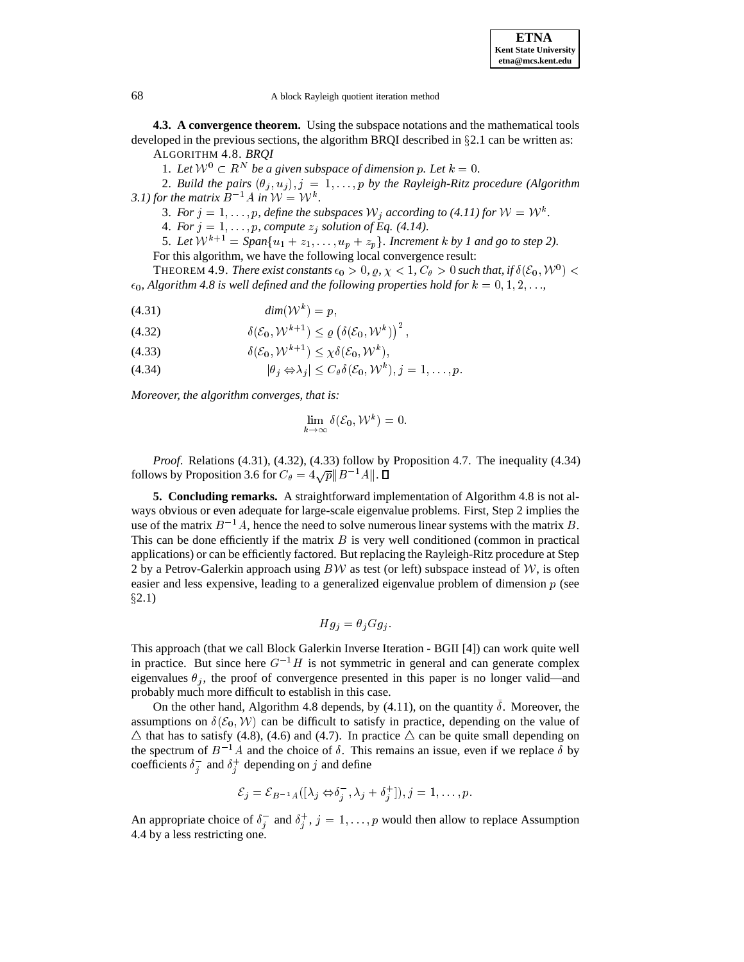#### 68 A block Rayleigh quotient iteration method

**4.3. A convergence theorem.** Using the subspace notations and the mathematical tools developed in the previous sections, the algorithm BRQI described in  $\S 2.1$  can be written as:

ALGORITHM 4.8. *BRQI*

1. Let  $W^0 \subset R^N$  be a given subspace of dimension p. Let  $k = 0$ .

2. *Build the pairs*  $(\theta_i, u_j), j = 1, \ldots, p$  *by the Rayleigh-Ritz procedure (Algorithm*) *3.1) for the matrix*  $B^{-1}A$  *in*  $\mathcal{W} = \mathcal{W}^k$ .

3. For  $j = 1, \ldots, p$ , define the subspaces  $\mathcal{W}_j$  according to (4.11) for  $\mathcal{W} = \mathcal{W}^k$ .

4. *For*  $j = 1, \ldots, p$ , *compute*  $z_j$  *solution of Eq. (4.14).* 

5. Let  $W^{k+1} = Span\{u_1 + z_1, \ldots, u_n + z_n\}$ . Increment k by 1 and go to step 2). For this algorithm, we have the following local convergence result:

THEOREM 4.9. *There exist constants*  $\epsilon_0 > 0$ ,  $\varrho, \, \chi < 1$ ,  $C_\theta > 0$  such that, if  $\delta(\mathcal{E}_0, \mathcal{W}^0) <$  $\epsilon_0$ , Algorithm 4.8 is well defined and the following properties hold for  $k = 0, 1, 2, \ldots$ ,

$$
(4.31) \t\t\t dim(\mathcal{W}^k) = p,
$$

$$
(4.32) \t\t\t \delta(\mathcal{E}_0, \mathcal{W}^{k+1}) \leq \varrho \left( \delta(\mathcal{E}_0, \mathcal{W}^k) \right)^2,
$$

- (4.33)  $\delta(\mathcal{E}_0, \mathcal{W}^{k+1}) \leq \chi \delta(\mathcal{E}_0, \mathcal{W}^k),$
- (4.33)<br>  $\delta(\mathcal{E}_0, \mathcal{W}^{k+1}) \leq \chi \delta(\mathcal{E}_0, \mathcal{W}^k),$ <br>
(4.34)<br>  $|\theta_j \Leftrightarrow \lambda_j| \leq C_\theta \delta(\mathcal{E}_0, \mathcal{W}^k), j = 1, ..., p.$

*Moreover, the algorithm converges, that is:*

j

j

$$
\lim_{k\to\infty}\delta(\mathcal{E}_0,\mathcal{W}^k)=0.
$$

*Proof*. Relations (4.31), (4.32), (4.33) follow by Proposition 4.7. The inequality (4.34) follows by Proposition 3.6 for  $C_\theta = 4\sqrt{p} ||B^{-1}A||$ .

**5. Concluding remarks.** A straightforward implementation of Algorithm 4.8 is not always obvious or even adequate for large-scale eigenvalue problems. First, Step 2 implies the use of the matrix  $B^{-1}A$ , hence the need to solve numerous linear systems with the matrix B. This can be done efficiently if the matrix  $B$  is very well conditioned (common in practical applications) or can be efficiently factored. But replacing the Rayleigh-Ritz procedure at Step 2 by a Petrov-Galerkin approach using  $BW$  as test (or left) subspace instead of W, is often easier and less expensive, leading to a generalized eigenvalue problem of dimension p (see  $\S 2.1)$ 

$$
Hg_j = \theta_j Gg_j.
$$

This approach (that we call Block Galerkin Inverse Iteration - BGII [4]) can work quite well in practice. But since here  $G^{-1}H$  is not symmetric in general and can generate complex eigenvalues  $\theta_i$ , the proof of convergence presented in this paper is no longer valid—and probably much more difficult to establish in this case.

On the other hand, Algorithm 4.8 depends, by  $(4.11)$ , on the quantity  $\delta$ . Moreover, the assumptions on  $\delta(\mathcal{E}_0, \mathcal{W})$  can be difficult to satisfy in practice, depending on the value of  $\triangle$  that has to satisfy (4.8), (4.6) and (4.7). In practice  $\triangle$  can be quite small depending on the spectrum of  $B^{-1}A$  and the choice of  $\delta$ . This remains an issue, even if we replace  $\delta$  by coefficients  $\delta_i^-$  and  $\delta_i^+$  depending on j and define

$$
\mathcal{E}_j = \mathcal{E}_{B^{-1}A}([\lambda_j \Leftrightarrow \delta_j^-, \lambda_j + \delta_j^+]), j = 1, \ldots, p.
$$

An appropriate choice of  $\delta_i^-$  and  $\delta_i^+$ ,  $j = 1, \ldots, p$  would then allow to replace Assumption 4.4 by a less restricting one.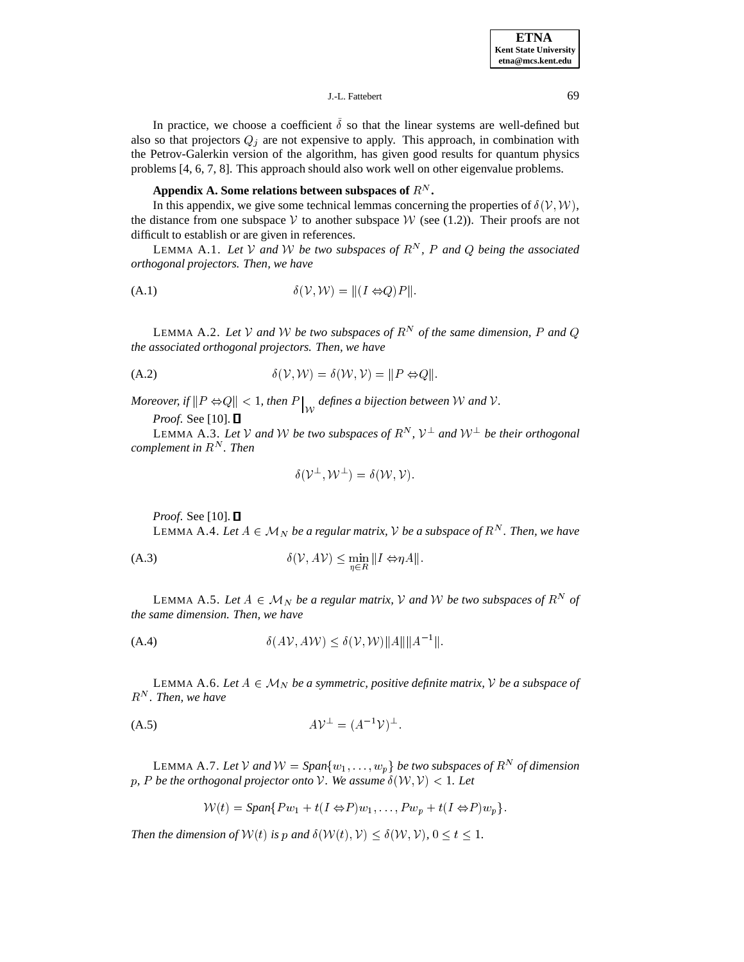In practice, we choose a coefficient  $\delta$  so that the linear systems are well-defined but also so that projectors  $Q_j$  are not expensive to apply. This approach, in combination with the Petrov-Galerkin version of the algorithm, has given good results for quantum physics problems [4, 6, 7, 8]. This approach should also work well on other eigenvalue problems.

## Appendix A. Some relations between subspaces of  $R^N$  .

In this appendix, we give some technical lemmas concerning the properties of  $\delta(\mathcal{V}, \mathcal{W})$ , the distance from one subspace V to another subspace W (see (1.2)). Their proofs are not difficult to establish or are given in references.

LEMMA A.1. Let V and W be two subspaces of  $R^N$ , P and Q being the associated *orthogonal projectors. Then, we have*

$$
\delta(\mathcal{V}, \mathcal{W}) = ||(I \Leftrightarrow Q)P||.
$$

LEMMA A.2. Let V and W be two subspaces of  $R^N$  of the same dimension, P and Q *the associated orthogonal projectors. Then, we have*

$$
\delta(\mathcal{V}, \mathcal{W}) = \delta(\mathcal{W}, \mathcal{V}) = ||P \Leftrightarrow Q||.
$$

*Moreover, if*  $\|P \Leftrightarrow Q\| < 1$ , then  $P\big|_{\mathcal{W}}$  defines a bijection between  $\mathcal W$  and  $\mathcal V$ .

*Proof.* See [10]. □

LEMMA A.3. Let V and W be two subspaces of  $R^N$ ,  $\mathcal{V}^{\perp}$  and  $\mathcal{W}^{\perp}$  be their orthogonal *complement in* <sup>R</sup><sup>N</sup> *. Then*

$$
\delta(\mathcal{V}^\perp,\mathcal{W}^\perp)=\delta(\mathcal{W},\mathcal{V}).
$$

*Proof.* See [10].  $\Box$ 

Proof. See [10]. □<br>LEMMA A.4. *Let*  $A \in \mathcal{M}_N$  be a regular matrix,  $\mathcal V$  be a subspace of  $R^N$ . Then, we have

(A.3) 
$$
\delta(\mathcal{V}, A\mathcal{V}) \leq \min_{\eta \in R} ||I \Leftrightarrow \eta A||.
$$

 $n \in \mathbb{R}$ <br>LEMMA A.5. *Let*  $A \in \mathcal{M}_N$  *be a regular matrix,*  $\mathcal V$  *and*  $\mathcal W$  *be two subspaces of*  $R^N$  *of the same dimension. Then, we have*

$$
\delta(A\mathcal{V}, A\mathcal{W}) \le \delta(\mathcal{V}, \mathcal{W}) ||A|| ||A^{-1}||.
$$

LEMMA A.6. Let  $A \in \mathcal{M}_N$  *be a symmetric, positive definite matrix, V be a subspace of*  $R^N$ . Then, we have

(A.5) 
$$
AV^{\perp} = (A^{-1}V)^{\perp}
$$
.

LEMMA A.7. Let V and  $W = Span\{w_1, \ldots, w_p\}$  be two subspaces of  $R^N$  of dimension p, P be the orthogonal projector onto V. We assume  $\delta(W, V) < 1$ . Let

$$
\mathcal{W}(t) = \text{Span}\{Pw_1 + t(I \Leftrightarrow P)w_1, \dots, Pw_p + t(I \Leftrightarrow P)w_p\}.
$$

*Then the dimension of*  $W(t)$  *is* p and  $\delta(W(t), V) \leq \delta(W, V)$ *,*  $0 \leq t \leq 1$ *.*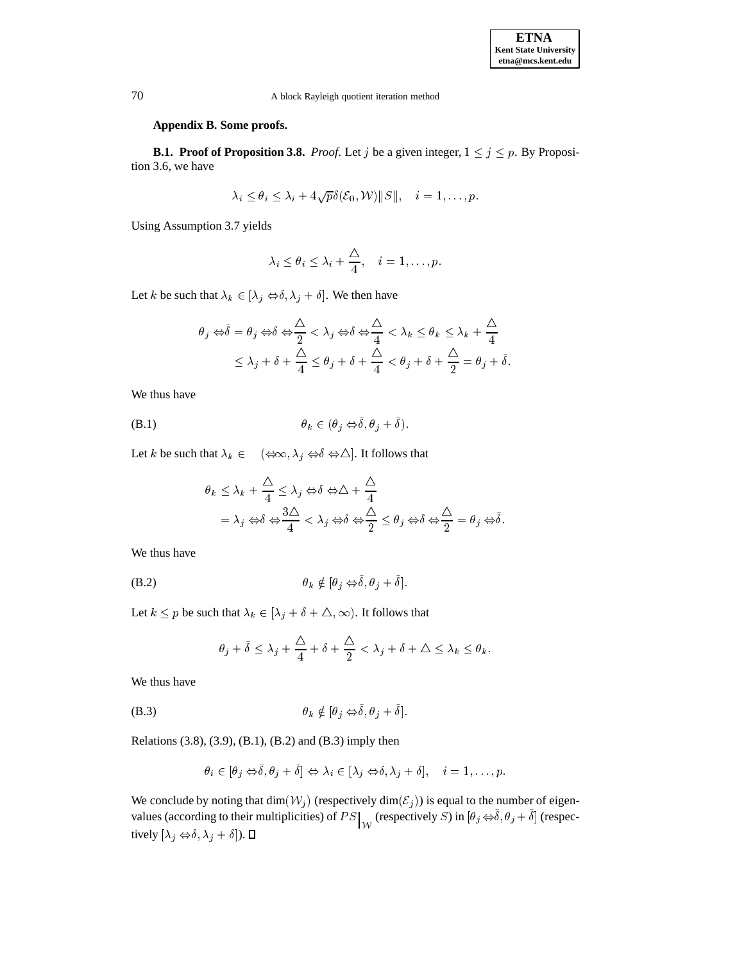## **Appendix B. Some proofs.**

**B.1. Proof of Proposition 3.8.** *Proof.* Let j be a given integer,  $1 \le j \le p$ . By Proposition 3.6, we have

$$
\lambda_i \leq \theta_i \leq \lambda_i + 4\sqrt{p}\delta(\mathcal{E}_0, \mathcal{W}) ||S||, \quad i = 1, \dots, p.
$$

Using Assumption 3.7 yields

$$
\lambda_i \leq \theta_i \leq \lambda_i + \frac{\Delta}{4}, \quad i = 1, \dots, p.
$$

Let k be such that  $\lambda_k \in [\lambda_j \Leftrightarrow \delta, \lambda_j + \delta]$ . We then have

$$
\theta_j \Leftrightarrow \tilde{\delta} = \theta_j \Leftrightarrow \delta \Leftrightarrow \frac{\Delta}{2} < \lambda_j \Leftrightarrow \delta \Leftrightarrow \frac{\Delta}{4} < \lambda_k \le \theta_k \le \lambda_k + \frac{\Delta}{4}
$$
\n
$$
\le \lambda_j + \delta + \frac{\Delta}{4} \le \theta_j + \delta + \frac{\Delta}{4} < \theta_j + \delta + \frac{\Delta}{2} = \theta_j + \tilde{\delta}.
$$

We thus have

(B.1) 
$$
\theta_k \in (\theta_j \Leftrightarrow \tilde{\delta}, \theta_j + \tilde{\delta}).
$$

(B.1)  $\theta_k \in (\theta_j \Leftrightarrow \delta, \theta_j + \delta).$ <br>Let k be such that  $\lambda_k \in (\Leftrightarrow \infty, \lambda_j \Leftrightarrow \delta \Leftrightarrow \triangle].$  It follows that

$$
\theta_k \le \lambda_k + \frac{\Delta}{4} \le \lambda_j \Leftrightarrow \delta \Leftrightarrow \Delta + \frac{\Delta}{4}
$$
  
=  $\lambda_j \Leftrightarrow \delta \Leftrightarrow \frac{3\Delta}{4} < \lambda_j \Leftrightarrow \delta \Leftrightarrow \frac{\Delta}{2} \le \theta_j \Leftrightarrow \delta \Leftrightarrow \frac{\Delta}{2} = \theta_j \Leftrightarrow \delta.$ 

We thus have

(B.2) 
$$
\theta_k \notin [\theta_j \Leftrightarrow \delta, \theta_j + \delta].
$$

Let  $k \le p$  be such that  $\lambda_k \in [\lambda_j + \delta + \Delta, \infty)$ . It follows that

$$
\theta_j + \tilde{\delta} \le \lambda_j + \frac{\Delta}{4} + \delta + \frac{\Delta}{2} < \lambda_j + \delta + \Delta \le \lambda_k \le \theta_k.
$$

We thus have

(B.3) 
$$
\theta_k \notin [\theta_i \Leftrightarrow \tilde{\delta}, \theta_i + \tilde{\delta}].
$$

Relations (3.8), (3.9), (B.1), (B.2) and (B.3) imply then

$$
\theta_i \in [\theta_j \Leftrightarrow \tilde{\delta}, \theta_j + \tilde{\delta}] \Leftrightarrow \lambda_i \in [\lambda_j \Leftrightarrow \delta, \lambda_j + \delta], \quad i = 1, \dots, p.
$$

We conclude by noting that  $\dim(\mathcal{W}_j)$  (respectively  $\dim(\mathcal{E}_j)$ ) is equal to the number of eigenvalues (according to their multiplicities) of  $PS \big|_{\mathcal{W}}$  (respectively S) in  $[\theta_j \Leftrightarrow \delta, \theta_j + \delta]$  (respectively  $[\lambda_j \Leftrightarrow \delta, \lambda_j + \delta]$ ).  $\Box$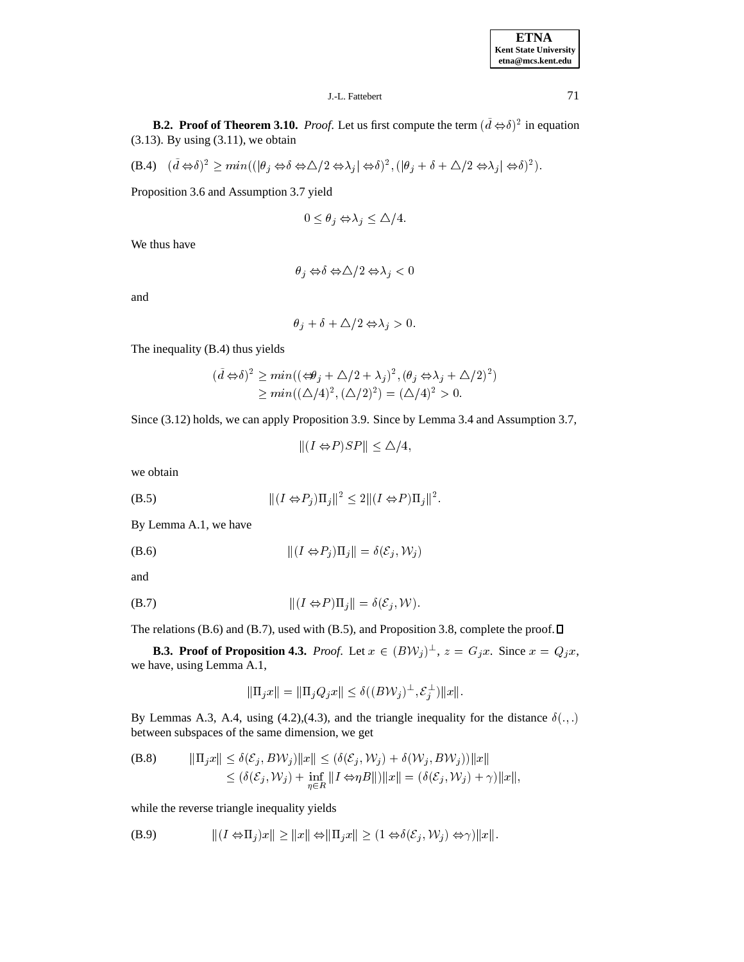# J.-L. Fattebert 71

**B.2. Proof of Theorem 3.10.** *Proof.* Let us first compute the term  $(d \Leftrightarrow \delta)^2$  in equation (3.13). By using (3.11), we obtain<br>
(B.4)  $(\tilde{d} \Leftrightarrow \delta)^2 \ge \min((|\theta_i \Leftrightarrow \delta \Leftrightarrow \Delta/2 \Leftrightarrow \lambda_i | \Leftrightarrow \delta)^2, (|\theta_i + \delta - \delta)^2]$ ;  $(|\theta_i + \delta + \Delta/2 \Leftrightarrow \lambda_i| \Leftrightarrow \delta)^2$ ).

(B.4) 
$$
(\tilde{d} \Leftrightarrow \delta)^2 \ge \min((|\theta_j \Leftrightarrow \delta \Leftrightarrow \Delta/2 \Leftrightarrow \lambda_j | \Leftrightarrow \delta)^2, (|\theta_j + \delta + \Delta/2 \Leftrightarrow \lambda_j | \Leftrightarrow \delta)^2).
$$

Proposition 3.6 and Assumption 3.7 yield

$$
yield
$$

$$
0 \le \theta_j \Leftrightarrow \lambda_j \le \Delta/4.
$$

We thus have

$$
\theta_j \Leftrightarrow \delta \Leftrightarrow \triangle/2 \Leftrightarrow \lambda_j < 0
$$

and

$$
\theta_i + \delta + \Delta/2 \Leftrightarrow \lambda_i > 0.
$$

The inequality (B.4) thus yields

$$
(\tilde{d} \Leftrightarrow \delta)^2 \ge \min((\Leftrightarrow \theta_j + \Delta/2 + \lambda_j)^2, (\theta_j \Leftrightarrow \lambda_j + \Delta/2)^2)
$$
  
>  $\min((\Delta/4)^2, (\Delta/2)^2) = (\Delta/4)^2 > 0.$ 

Since (3.12) holds, we can apply Proposition 3.9. Since by Lemma 3.4 and Assumption 3.7,

 $||(I \Leftrightarrow P)SP|| \leq \Delta/4,$ 

we obtain

$$
||(I \Leftrightarrow P_i)\Pi_j||^2 \le 2||(I \Leftrightarrow P)\Pi_j||^2.
$$

By Lemma A.1, we have

$$
|| (I \Leftrightarrow P_j) \Pi_j || = \delta(\mathcal{E}_j, \mathcal{W}_j)
$$

and

(B.7) 
$$
||(I \Leftrightarrow P)\Pi_i|| = \delta(\mathcal{E}_i, \mathcal{W}).
$$

The relations (B.6) and (B.7), used with (B.5), and Proposition 3.8, complete the proof.  $\Box$ 

**B.3. Proof of Proposition 4.3.** *Proof.* Let  $x \in (BV_j)^{\perp}$ ,  $z = G_j x$ . Since  $x = Q_j x$ , we have, using Lemma A.1, A.1,<br>  $\|\Pi_j x\| = \|\Pi_j Q_j x\| \leq \delta ((B \mathcal{W}_j)^\perp, \mathcal{E}_j^\perp) \|x\|.$ 

$$
\|\Pi_j x\| = \|\Pi_j Q_j x\| \le \delta ((B\mathcal{W}_j)^{\perp}, \mathcal{E}_j^{\perp}) \|x\|.
$$

By Lemmas A.3, A.4, using (4.2),(4.3), and the triangle inequality for the distance  $\delta(.,.)$ between subspaces of the same dimension, we get<br>
(B.8)  $\|\Pi_i x\| \leq \delta(\mathcal{E}_i, B\mathcal{W}_i)\|x\| \leq (\delta(\mathcal{E}_i, \mathcal{W}_i) + \delta(\mathcal{W}_i, B\mathcal{W}_i))\|x\|$ 

(B.8) 
$$
\|\Pi_j x\| \leq \delta(\mathcal{E}_j, B\mathcal{W}_j) \|x\| \leq (\delta(\mathcal{E}_j, \mathcal{W}_j) + \delta(\mathcal{W}_j, B\mathcal{W}_j)) \|x\|
$$
  
 
$$
\leq (\delta(\mathcal{E}_j, \mathcal{W}_j) + \inf_{\eta \in R} \|I \Leftrightarrow \eta B\|) \|x\| = (\delta(\mathcal{E}_j, \mathcal{W}_j) + \gamma) \|x\|,
$$

while the reverse triangle inequality yields

\n
$$
|| (I \Leftrightarrow \Pi_j) x || \geq ||x|| \Leftrightarrow ||\Pi_j x || \geq (1 \Leftrightarrow \delta(\mathcal{E}_j, \mathcal{W}_j) \Leftrightarrow \gamma) ||x||.
$$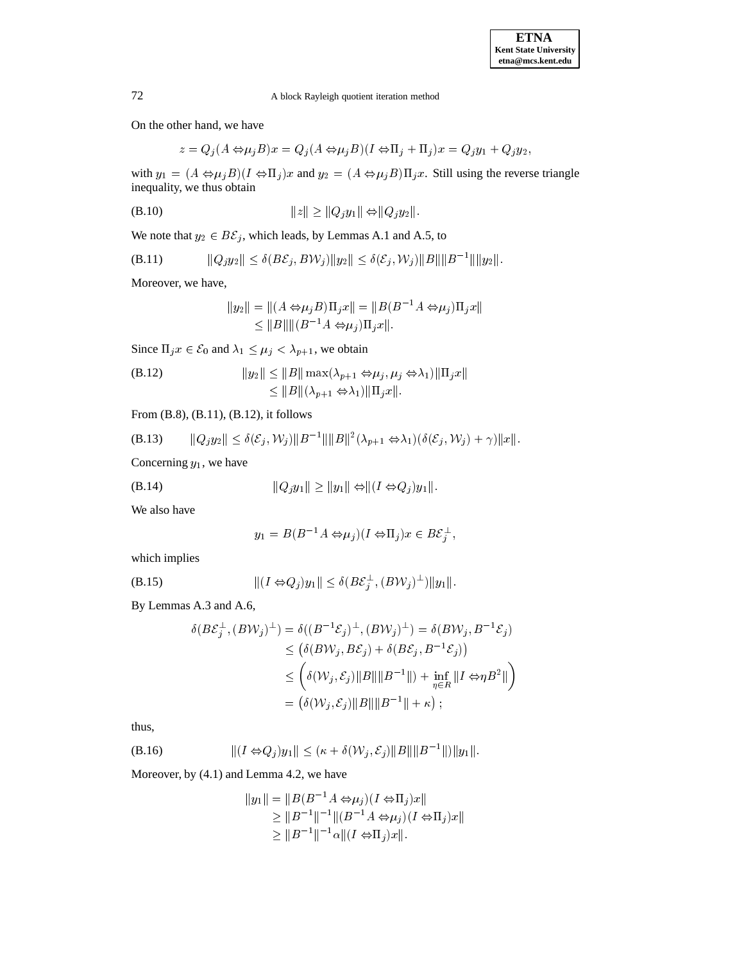On the other hand, we have

$$
z = Q_j(A \Leftrightarrow \mu_j B)x = Q_j(A \Leftrightarrow \mu_j B)(I \Leftrightarrow \Pi_j + \Pi_j)x = Q_jy_1 + Q_jy_2,
$$

with  $y_1 = (A \Leftrightarrow \mu_j B)(I \Leftrightarrow \Pi_j)x$  and  $y_2 = (A \Leftrightarrow \mu_j B)\Pi_jx$ . Still using the reverse triangle inequality, we thus obtain

$$
||z|| \ge ||Q_j y_1|| \Leftrightarrow ||Q_j y_2||.
$$

We note that 
$$
y_2 \in B\mathcal{E}_j
$$
, which leads, by Lemmas A.1 and A.5, to  
\n(B.11) 
$$
||Q_j y_2|| \leq \delta(B\mathcal{E}_j, B\mathcal{W}_j)||y_2|| \leq \delta(\mathcal{E}_j, \mathcal{W}_j)||B||||B^{-1}||||y_2||.
$$

Moreover, we have,

$$
||y_2|| = ||(A \Leftrightarrow \mu_j B)\Pi_j x|| = ||B(B^{-1}A \Leftrightarrow \mu_j)\Pi_j x||
$$
  
\n
$$
\le ||B|| ||(B^{-1}A \Leftrightarrow \mu_j)\Pi_j x||.
$$

Since  $\Pi_j x \in \mathcal{E}_0$  and  $\lambda_1 \leq \mu_j < \lambda_{p+1}$ , we obtain

(B.12) 
$$
||y_2|| \le ||B|| \max(\lambda_{p+1} \Leftrightarrow \mu_j, \mu_j \Leftrightarrow \lambda_1) ||\Pi_j x||
$$

$$
\le ||B||(\lambda_{p+1} \Leftrightarrow \lambda_1) ||\Pi_j x||.
$$

From (B.8), (B.11), (B.12), it follows  
\n(B.13) 
$$
||Q_jy_2|| \leq \delta(\mathcal{E}_j, \mathcal{W}_j)||B^{-1}||||B||^2(\lambda_{p+1} \Leftrightarrow \lambda_1)(\delta(\mathcal{E}_j, \mathcal{W}_j) + \gamma)||x||.
$$

Concerning  $y_1$ , we have

$$
||Q_j y_1|| \ge ||y_1|| \Leftrightarrow ||(I \Leftrightarrow Q_j) y_1||.
$$

We also have

$$
y_1 = B(B^{-1}A \Leftrightarrow \mu_j)(I \Leftrightarrow \Pi_j)x \in B\mathcal{E}_j^{\perp},
$$

which implies

which implies  
(B.15) 
$$
||(I \Leftrightarrow Q_j)y_1|| \leq \delta (B\mathcal{E}_j^{\perp}, (B\mathcal{W}_j)^{\perp})||y_1||.
$$

By Lemmas A.3 and A.6,

$$
\delta(B\mathcal{E}_j^{\perp}, (B\mathcal{W}_j)^{\perp}) = \delta((B^{-1}\mathcal{E}_j)^{\perp}, (B\mathcal{W}_j)^{\perp}) = \delta(B\mathcal{W}_j, B^{-1}\mathcal{E}_j)
$$
  
\n
$$
\leq (\delta(B\mathcal{W}_j, B\mathcal{E}_j) + \delta(B\mathcal{E}_j, B^{-1}\mathcal{E}_j))
$$
  
\n
$$
\leq \left(\delta(\mathcal{W}_j, \mathcal{E}_j) \|B\| \|B^{-1}\| + \inf_{\eta \in R} \|I \Leftrightarrow \eta B^2\| \right)
$$
  
\n
$$
= (\delta(\mathcal{W}_j, \mathcal{E}_j) \|B\| \|B^{-1}\| + \kappa);
$$

thus,

thus,  
\n(B.16) 
$$
||(I \Leftrightarrow Q_j)y_1|| \leq (\kappa + \delta(\mathcal{W}_j, \mathcal{E}_j)||B||||B^{-1}||)||y_1||.
$$

Moreover, by (4.1) and Lemma 4.2, we have

$$
||y_1|| = ||B(B^{-1}A \Leftrightarrow \mu_j)(I \Leftrightarrow \Pi_j)x||
$$
  
\n
$$
\ge ||B^{-1}||^{-1}||(B^{-1}A \Leftrightarrow \mu_j)(I \Leftrightarrow \Pi_j)x||
$$
  
\n
$$
\ge ||B^{-1}||^{-1}\alpha||(I \Leftrightarrow \Pi_j)x||.
$$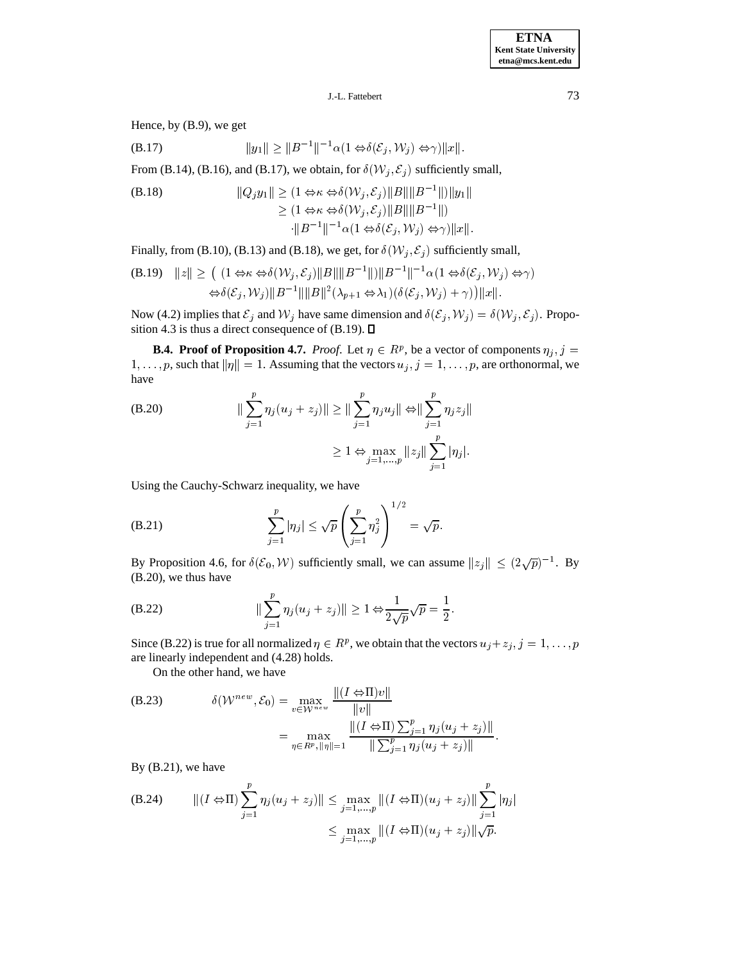Hence, by (B.9), we get

$$
(B.17) \t\t ||y_1|| \ge ||B^{-1}||^{-1} \alpha(1 \Leftrightarrow \delta(\mathcal{E}_j, \mathcal{W}_j) \Leftrightarrow \gamma)||x||.
$$

From (B.14), (B.16), and (B.17), we obtain, for  $\delta(W_j, \mathcal{E}_j)$  sufficiently small,<br>(B.18)  $||Q_j y_1|| \geq (1 \Leftrightarrow \kappa \Leftrightarrow \delta(W_j, \mathcal{E}_j) ||B|| ||B^{-1}||) ||y_1||$ 

(B.18) 
$$
||Q_j y_1|| \geq (1 \Leftrightarrow \kappa \Leftrightarrow \delta(\mathcal{W}_j, \mathcal{E}_j) ||B||||B^{-1}||) ||y_1||
$$

$$
\geq (1 \Leftrightarrow \kappa \Leftrightarrow \delta(\mathcal{W}_j, \mathcal{E}_j) ||B||||B^{-1}||)
$$

$$
\cdot ||B^{-1}||^{-1} \alpha (1 \Leftrightarrow \delta(\mathcal{E}_j, \mathcal{W}_j) \Leftrightarrow \gamma) ||x||.
$$

Finally, from (B.10), (B.13) and (B.18), we get, for  $\delta(\mathcal{W}_j, \mathcal{E}_j)$  sufficiently small,<br>(B.19)  $||z|| > (1 \Leftrightarrow \kappa \Leftrightarrow \delta(\mathcal{W}_i, \mathcal{E}_i) ||B||||B^{-1}||||B^{-1}||^{-1} \alpha(1 \Leftrightarrow \delta(\mathcal{E}_i, \mathcal{W}_i) \Leftrightarrow$ 

$$
\begin{aligned} \text{(B.19)} \quad ||z|| &\geq \left( (1 \Leftrightarrow \kappa \Leftrightarrow \delta(\mathcal{W}_j, \mathcal{E}_j) ||B|| ||B^{-1}||) ||B^{-1}||^{-1} \alpha (1 \Leftrightarrow \delta(\mathcal{E}_j, \mathcal{W}_j) \Leftrightarrow \gamma \right) \\ &\Leftrightarrow \delta(\mathcal{E}_j, \mathcal{W}_j) ||B^{-1}|| ||B||^2 (\lambda_{p+1} \Leftrightarrow \lambda_1) (\delta(\mathcal{E}_j, \mathcal{W}_j) + \gamma) ||x||. \end{aligned}
$$

Now (4.2) implies that  $\mathcal{E}_j$  and  $\mathcal{W}_j$  have same dimension and  $\delta(\mathcal{E}_j, \mathcal{W}_j) = \delta(\mathcal{W}_j, \mathcal{E}_j)$ . Proposition 4.3 is thus a direct consequence of (B.19).  $\Box$ 

**B.4. Proof of Proposition 4.7.** *Proof.* Let  $\eta \in R^p$ , be a vector of components  $\eta_j$ ,  $j =$  $1,\ldots,p$ , such that  $\|\eta\|=1$ . Assuming that the vectors  $u_j$ ,  $j=1,\ldots,p$ , are orthonormal, we have

(B.20) 
$$
\|\sum_{j=1}^{p} \eta_j (u_j + z_j)\| \ge \|\sum_{j=1}^{p} \eta_j u_j\| \Leftrightarrow \|\sum_{j=1}^{p} \eta_j z_j\|
$$

$$
\ge 1 \Leftrightarrow \max_{j=1,...,p} \|z_j\| \sum_{j=1}^{p} |\eta_j|.
$$

Using the Cauchy-Schwarz inequality, we have

(B.21) 
$$
\sum_{j=1}^{p} |\eta_j| \leq \sqrt{p} \left( \sum_{j=1}^{p} \eta_j^2 \right)^{1/2} = \sqrt{p}.
$$

By Proposition 4.6, for  $\delta(\mathcal{E}_0, \mathcal{W})$  sufficiently small, we can assume  $||z_j|| \leq (2\sqrt{p})^{-1}$ . By (B.20), we thus have

(B.20), we thus have  
\n
$$
\|\sum_{j=1}^{p} \eta_j (u_j + z_j)\| \ge 1 \Leftrightarrow \frac{1}{2\sqrt{p}} \sqrt{p} = \frac{1}{2}.
$$

Since (B.22) is true for all normalized  $\eta \in R^p$ , we obtain that the vectors  $u_j + z_j$ ,  $j = 1, \ldots, p$ are linearly independent and (4.28) holds.

On the other hand, we have

(B.23) 
$$
\delta(\mathcal{W}^{new}, \mathcal{E}_0) = \max_{v \in \mathcal{W}^{new}} \frac{\| (I \Leftrightarrow \Pi) v \|}{\|v\|} = \max_{\eta \in \mathbb{R}^p, \|\eta\| = 1} \frac{\| (I \Leftrightarrow \Pi) \sum_{j=1}^p \eta_j (u_j + z_j) \|}{\| \sum_{j=1}^p \eta_j (u_j + z_j) \|}.
$$

By (B.21), we have

By (B.21), we have  
\n(B.24) 
$$
||(I \Leftrightarrow \Pi) \sum_{j=1}^{p} \eta_j (u_j + z_j)|| \le \max_{j=1,...,p} ||(I \Leftrightarrow \Pi)(u_j + z_j)|| \sum_{j=1}^{p} |\eta_j|
$$
\n
$$
\le \max_{j=1,...,p} ||(I \Leftrightarrow \Pi)(u_j + z_j)|| \sqrt{p}.
$$